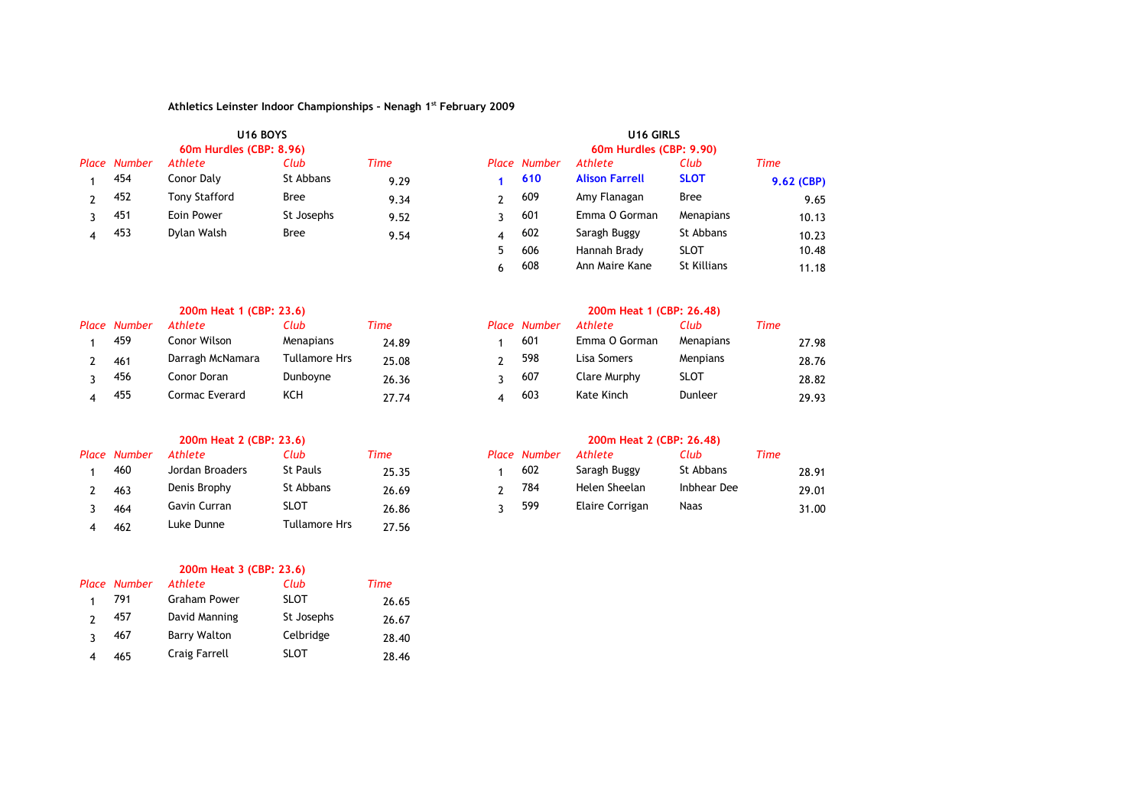|              |                         | <b>U16 BOYS</b> |      | U <sub>16</sub> GIRLS   |              |                       |                    |              |  |  |
|--------------|-------------------------|-----------------|------|-------------------------|--------------|-----------------------|--------------------|--------------|--|--|
|              | 60m Hurdles (CBP: 8.96) |                 |      | 60m Hurdles (CBP: 9.90) |              |                       |                    |              |  |  |
| Place Number | Athlete                 | Club            | Time |                         | Place Number | Athlete               | Club               | Time         |  |  |
| 454          | Conor Daly              | St Abbans       | 9.29 |                         | 610          | <b>Alison Farrell</b> | <b>SLOT</b>        | $9.62$ (CBP) |  |  |
| 452          | <b>Tony Stafford</b>    | Bree            | 9.34 | າ                       | 609          | Amy Flanagan          | Bree               | 9.65         |  |  |
| 451          | Eoin Power              | St Josephs      | 9.52 |                         | 601          | Emma O Gorman         | Menapians          | 10.13        |  |  |
| 453          | Dylan Walsh             | <b>Bree</b>     | 9.54 | $\overline{4}$          | 602          | Saragh Buggy          | St Abbans          | 10.23        |  |  |
|              |                         |                 |      | 5.                      | 606          | Hannah Brady          | <b>SLOT</b>        | 10.48        |  |  |
|              |                         |                 |      | 6                       | 608          | Ann Maire Kane        | <b>St Killians</b> | 11.18        |  |  |

|       | 200m Heat 1 (CBP: 23.6) |                  |               |       |  | 200m Heat 1 (CBP: 26.48) |               |             |      |       |  |  |
|-------|-------------------------|------------------|---------------|-------|--|--------------------------|---------------|-------------|------|-------|--|--|
| Place | Number                  | Athlete          | Club          | Time  |  | Place Number             | Athlete       | Club        | Time |       |  |  |
|       | 459                     | Conor Wilson     | Menapians     | 24.89 |  | 601                      | Emma O Gorman | Menapians   |      | 27.98 |  |  |
|       | 461                     | Darragh McNamara | Tullamore Hrs | 25.08 |  | 598                      | Lisa Somers   | Menpians    |      | 28.76 |  |  |
|       | 456                     | Conor Doran      | Dunboyne      | 26.36 |  | 607                      | Clare Murphy  | <b>SLOT</b> |      | 28.82 |  |  |
|       | 455                     | Cormac Everard   | KCH           | 27.74 |  | 603                      | Kate Kinch    | Dunleer     |      | 29.93 |  |  |

| Place Number | Athlete         | Club            | Time  | <b>Place Number</b> | Athlete         | Club        | Time  |
|--------------|-----------------|-----------------|-------|---------------------|-----------------|-------------|-------|
| 460          | Jordan Broaders | <b>St Pauls</b> | 25.35 | 602                 | Saragh Buggy    | St Abbans   | 28.91 |
| 463          | Denis Brophy    | St Abbans       | 26.69 | 784                 | Helen Sheelan   | Inbhear Dee | 29.01 |
| 464          | Gavin Curran    | <b>SLOT</b>     | 26.86 | 599                 | Elaire Corrigan | Naas        | 31.00 |
| 462          | Luke Dunne      | Tullamore Hrs   | 27.56 |                     |                 |             |       |

| 200m Heat 3 (CBP: 23.6) |              |                     |             |       |  |  |  |  |  |  |  |  |
|-------------------------|--------------|---------------------|-------------|-------|--|--|--|--|--|--|--|--|
|                         | Place Number | Athlete             | Club        | Time  |  |  |  |  |  |  |  |  |
|                         | 791          | <b>Graham Power</b> | <b>SLOT</b> | 26.65 |  |  |  |  |  |  |  |  |
|                         | 457          | David Manning       | St Josephs  | 26.67 |  |  |  |  |  |  |  |  |
| C                       | 467          | <b>Barry Walton</b> | Celbridge   | 28.40 |  |  |  |  |  |  |  |  |
|                         | 465          | Craig Farrell       | <b>SLOT</b> | 28.46 |  |  |  |  |  |  |  |  |

| 200m Heat 2 (CBP: 23.6) |                 |       | 200m Heat 2 (CBP: 26.48) |              |                 |             |      |       |  |  |  |
|-------------------------|-----------------|-------|--------------------------|--------------|-----------------|-------------|------|-------|--|--|--|
| thlete                  | Club            | Time  |                          | Place Number | Athlete         | Club        | Time |       |  |  |  |
| ordan Broaders          | <b>St Pauls</b> | 25.35 |                          | 602          | Saragh Buggy    | St Abbans   |      | 28.91 |  |  |  |
| enis Brophy             | St Abbans       | 26.69 |                          | 784          | Helen Sheelan   | Inbhear Dee |      | 29.01 |  |  |  |
| iavin Curran            | <b>SLOT</b>     | 26.86 |                          | 599          | Elaire Corrigan | <b>Naas</b> |      | 31.00 |  |  |  |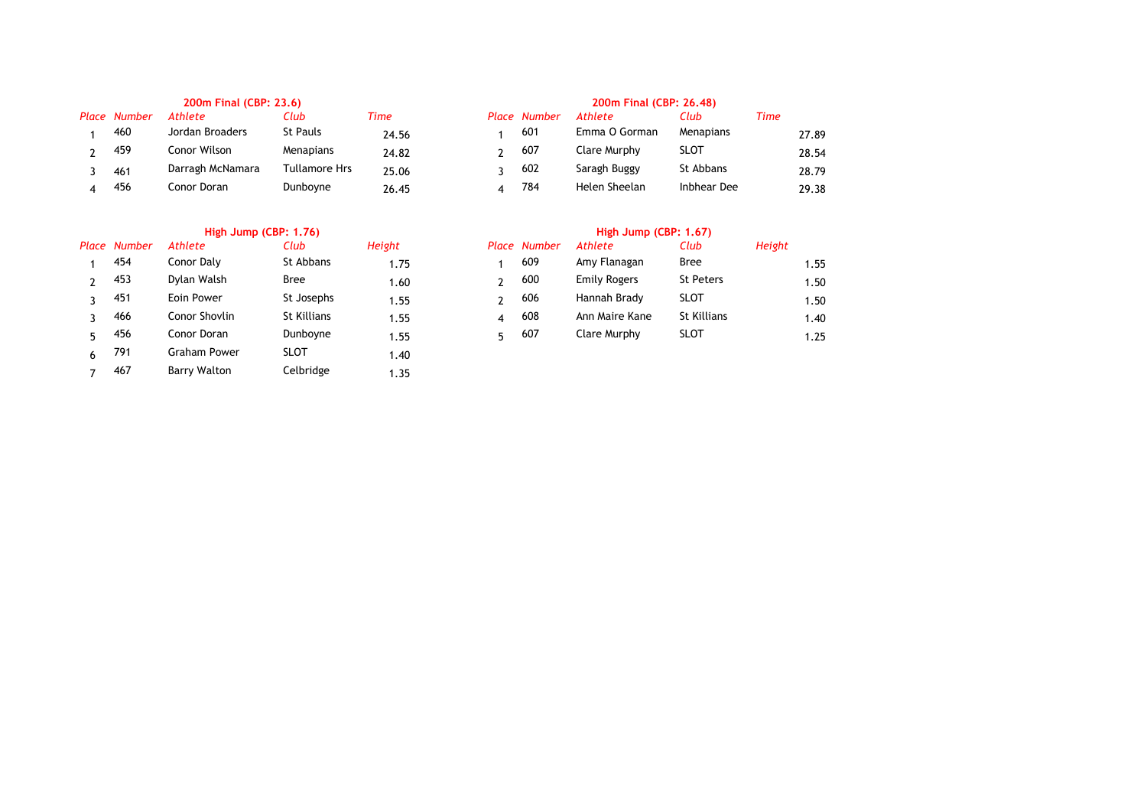|              | 200m Final (CBP: 23.6) |               | 200m Final (CBP: 26.48) |  |                     |                |                  |      |       |
|--------------|------------------------|---------------|-------------------------|--|---------------------|----------------|------------------|------|-------|
| Place Number | <b>Athlete</b>         | Club          | Time                    |  | <b>Place Number</b> | <b>Athlete</b> | Club             | Time |       |
| 460          | Jordan Broaders        | St Pauls      | 24.56                   |  | 601                 | Emma O Gorman  | <b>Menapians</b> |      | 27.89 |
| 459          | Conor Wilson           | Menapians     | 24.82                   |  | 607                 | Clare Murphy   | <b>SLOT</b>      |      | 28.54 |
| 461          | Darragh McNamara       | Tullamore Hrs | 25.06                   |  | 602                 | Saragh Buggy   | St Abbans        |      | 28.79 |
| 456          | Conor Doran            | Dunboyne      | 26.45                   |  | 784                 | Helen Sheelan  | Inbhear Dee      |      | 29.38 |

# **High Jump (CBP: 1.76) High Jump (CBP: 1.67)**

|   | Place Number | Athlete       | Club        | Height |   | <b>Place Number</b> | Athlete        | Club               | Height |
|---|--------------|---------------|-------------|--------|---|---------------------|----------------|--------------------|--------|
|   | 454          | Conor Daly    | St Abbans   | 1.75   |   | 609                 | Amy Flanagan   | <b>Bree</b>        |        |
|   | 453          | Dylan Walsh   | <b>Bree</b> | 1.60   |   | 600                 | Emily Rogers   | St Peters          |        |
|   | 451          | Eoin Power    | St Josephs  | 1.55   |   | 606                 | Hannah Brady   | <b>SLOT</b>        |        |
|   | 466          | Conor Shovlin | St Killians | 1.55   | 4 | 608                 | Ann Maire Kane | <b>St Killians</b> |        |
|   | 456          | Conor Doran   | Dunboyne    | 1.55   | 5 | 607                 | Clare Murphy   | <b>SLOT</b>        |        |
| 6 | 791          | Graham Power  | <b>SLOT</b> | 1.40   |   |                     |                |                    |        |
|   | 467          | Barry Walton  | Celbridge   | 1.35   |   |                     |                |                    |        |

| ace Number | Athlete       | Club               | Height | Place | Number | Athlete             | Club               | Height |      |
|------------|---------------|--------------------|--------|-------|--------|---------------------|--------------------|--------|------|
| 454        | Conor Daly    | St Abbans          | 1.75   |       | 609    | Amy Flanagan        | Bree               |        | 1.55 |
| 453        | Dylan Walsh   | <b>Bree</b>        | 1.60   |       | 600    | <b>Emily Rogers</b> | <b>St Peters</b>   |        | 1.50 |
| 451        | Eoin Power    | St Josephs         | 1.55   |       | 606    | Hannah Brady        | SLOT               |        | 1.50 |
| 466        | Conor Shovlin | <b>St Killians</b> | 1.55   |       | 608    | Ann Maire Kane      | <b>St Killians</b> |        | 1.40 |
| 456        | Conor Doran   | Dunboyne           | 1.55   |       | 607    | Clare Murphy        | SLOT               |        | 1.25 |
|            |               |                    |        |       |        |                     |                    |        |      |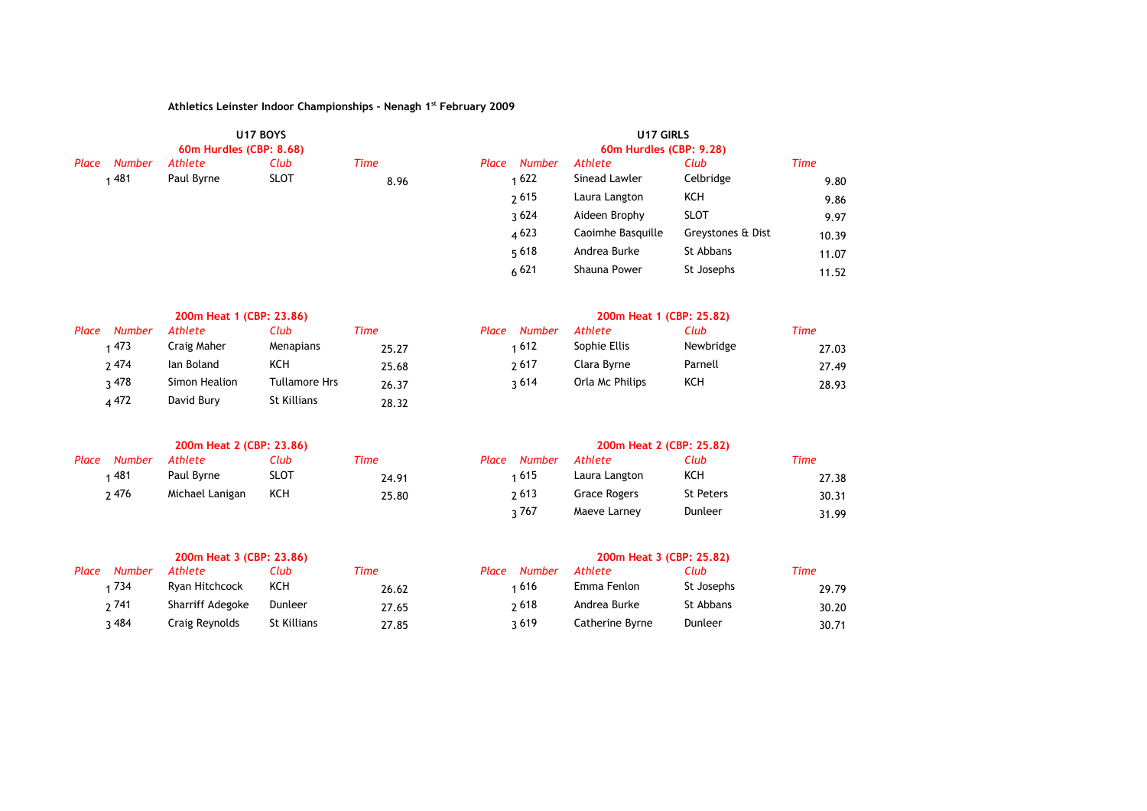|       |               | U17 BOYS<br>60m Hurdles (CBP: 8.68) |             |             | U17 GIRLS<br>60m Hurdles (CBP: 9.28) |               |                   |                   |             |  |  |
|-------|---------------|-------------------------------------|-------------|-------------|--------------------------------------|---------------|-------------------|-------------------|-------------|--|--|
| Place | <b>Number</b> | Athlete                             | Club        | <b>Time</b> | Place                                | <b>Number</b> | Athlete           | Club              | <b>Time</b> |  |  |
|       | 481           | Paul Byrne                          | <b>SLOT</b> | 8.96        |                                      | 1622          | Sinead Lawler     | Celbridge         | 9.80        |  |  |
|       |               |                                     |             |             |                                      | 2615          | Laura Langton     | KCH               | 9.86        |  |  |
|       |               |                                     |             |             |                                      | 3624          | Aideen Brophy     | <b>SLOT</b>       | 9.97        |  |  |
|       |               |                                     |             |             |                                      | 4623          | Caoimhe Basquille | Greystones & Dist | 10.39       |  |  |
|       |               |                                     |             |             |                                      | 5618          | Andrea Burke      | St Abbans         | 11.07       |  |  |
|       |               |                                     |             |             |                                      | 6621          | Shauna Power      | St Josephs        | 11.52       |  |  |

|       | 200m Heat 1 (CBP: 23.86) |               |                      |       |       | 200m Heat 1 (CBP: 25.82) |                 |           |      |  |  |
|-------|--------------------------|---------------|----------------------|-------|-------|--------------------------|-----------------|-----------|------|--|--|
| Place | Number                   | Athlete       | Club                 | Time  | Place | <b>Number</b>            | Athlete         | Club      | Time |  |  |
|       | 1473                     | Craig Maher   | Menapians            | 25.27 |       | 1612ء                    | Sophie Ellis    | Newbridge |      |  |  |
|       | 2474                     | lan Boland    | KCH                  | 25.68 |       | 2617                     | Clara Byrne     | Parnell   |      |  |  |
|       | २ 478                    | Simon Healion | <b>Tullamore Hrs</b> | 26.37 |       | 3614                     | Orla Mc Philips | KCH       |      |  |  |
|       | 4472                     | David Bury    | St Killians          | 28.32 |       |                          |                 |           |      |  |  |

| Place Number Athlete |                     | Club.       | Time  | Place Number Athlete |               | Club             | Time |
|----------------------|---------------------|-------------|-------|----------------------|---------------|------------------|------|
| 481                  | Paul Byrne          | <b>SLOT</b> | 24.91 | 1615                 | Laura Langton | ксн              |      |
| 2476                 | Michael Lanigan KCH |             | 25.80 | 2613                 | Grace Rogers  | <b>St Peters</b> |      |

|       | 200m Heat 3 (CBP: 23.86) |             |       | 200m Heat 3 (CBP: 25.82) |               |                 |            |      |
|-------|--------------------------|-------------|-------|--------------------------|---------------|-----------------|------------|------|
| Place | <b>Number</b><br>Athlete | Club        | Time  | Place                    | <b>Number</b> | Athlete         | Club       | Time |
| 734   | Ryan Hitchcock           | KCH         | 26.62 | 1616                     |               | Emma Fenlon     | St Josephs |      |
| 2741  | Sharriff Adegoke         | Dunleer     | 27.65 | 2618                     |               | Andrea Burke    | St Abbans  |      |
| २ 484 | Craig Reynolds           | St Killians | 27.85 | 3619                     |               | Catherine Byrne | Dunleer    |      |

| <b>Number</b> | Athlete       | Club              | Time  | Place<br><b>Number</b> | Athlete         | Club      | <b>Time</b> |
|---------------|---------------|-------------------|-------|------------------------|-----------------|-----------|-------------|
| 1473          | Craig Maher   | Menapians         | 25.27 | : 612                  | Sophie Ellis    | Newbridge | 27.03       |
| ን 474         | lan Boland    | KCH               | 25.68 | 2617                   | Clara Byrne     | Parnell   | 27.49       |
| ว 478         | Simon Healion | Tullamore Hrs     | 26.37 | 3614                   | Orla Mc Philips | KCH       | 28.93       |
| .472          | David Punc    | $C +$ $V$ illianc | -- -- |                        |                 |           |             |

|               | 200m Heat 2 (CBP: 23.86) |      |       | 200m Heat 2 (CBP: 25.82) |        |               |                  |       |  |  |
|---------------|--------------------------|------|-------|--------------------------|--------|---------------|------------------|-------|--|--|
| <b>Number</b> | Athlete                  | Club | Time  | Place                    | Number | Athlete       | Club             | Time  |  |  |
| 1481          | Paul Byrne               | SLOT | 24.91 |                          | 1 615  | Laura Langton | KCH              | 27.38 |  |  |
| ን 476         | Michael Lanigan          | KCH  | 25.80 |                          | 2613   | Grace Rogers  | <b>St Peters</b> | 30.31 |  |  |
|               |                          |      |       |                          | 767ء   | Maeve Larney  | Dunleer          | 31.99 |  |  |

|               | 200m Heat 3 (CBP: 23.86) |             |       | 200m Heat 3 (CBP: 25.82) |               |                 |            |       |  |
|---------------|--------------------------|-------------|-------|--------------------------|---------------|-----------------|------------|-------|--|
| <b>Number</b> | Athlete                  | Club        | Time  | Place                    | <b>Number</b> | Athlete         | Club       | Time  |  |
| 1734          | Ryan Hitchcock           | KCH         | 26.62 |                          | 1 616         | Emma Fenlon     | St Josephs | 29.79 |  |
| າ 741         | Sharriff Adegoke         | Dunleer     | 27.65 |                          | 2618          | Andrea Burke    | St Abbans  | 30.20 |  |
| २ 484         | Craig Reynolds           | St Killians | 27.85 |                          | 3619          | Catherine Byrne | Dunleer    | 30.71 |  |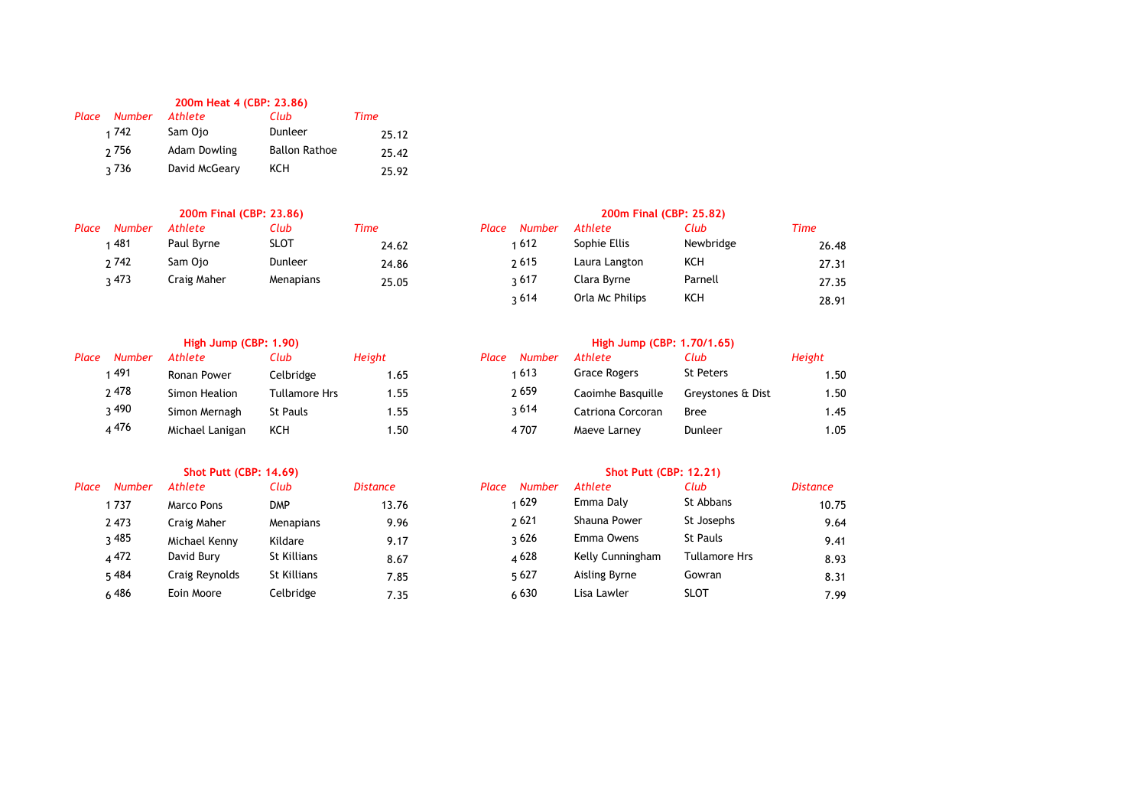|                 | 200m Heat 4 (CBP: 23.86) |                      |       |
|-----------------|--------------------------|----------------------|-------|
| Number<br>Place | Athlete                  | Club                 | Time  |
| 1 742           | Sam Ojo                  | Dunleer              | 25.12 |
| 2 7 5 6         | <b>Adam Dowling</b>      | <b>Ballon Rathoe</b> | 25.42 |
| २ 736           | David McGeary            | ксн                  | 25.92 |

| Place | <b>Number</b> | Athlete     | Club        | Time  | Place | <b>Number</b> | Athlete       | Club      | Time |
|-------|---------------|-------------|-------------|-------|-------|---------------|---------------|-----------|------|
|       | 481           | Paul Byrne  | <b>SLOT</b> | 24.62 |       | 1612          | Sophie Ellis  | Newbridge |      |
|       | 2742          | Sam Oio     | Dunleer     | 24.86 |       | <b>2615</b>   | Laura Langton | KCH       |      |
|       | 3.473         | Craig Maher | Menapians   | 25.05 |       | 3617          | Clara Bvrne   | Parnell   |      |

| Place | <b>Number</b> | Athlete         | Club                 | Height | Place<br>Number | Athlete           | Club              |
|-------|---------------|-----------------|----------------------|--------|-----------------|-------------------|-------------------|
|       | 491           | Ronan Power     | Celbridge            | 1.65   | 1613            | Grace Rogers      | <b>St Peters</b>  |
|       | ን 478         | Simon Healion   | <b>Tullamore Hrs</b> | 1.55   | 2659            | Caoimhe Basquille | Greystones & Dist |
|       | २ 490         | Simon Mernagh   | <b>St Pauls</b>      | 1.55   | 3614            | Catriona Corcoran | <b>Bree</b>       |
|       | 4 4 7 6       | Michael Lanigan | KCH                  | 1.50   | 4 707           | Maeve Larney      | Dunleer           |
|       |               |                 |                      |        |                 |                   |                   |

| Place | Number  | Athlete        | Club        | Distance | Place<br>Number | Athlete          | ClUD            |
|-------|---------|----------------|-------------|----------|-----------------|------------------|-----------------|
|       | 1 737   | Marco Pons     | <b>DMP</b>  | 13.76    | 1629            | Emma Daly        | St Abbans       |
|       | 2473    | Craig Maher    | Menapians   | 9.96     | 2621            | Shauna Power     | St Josephs      |
|       | २ 485   | Michael Kenny  | Kildare     | 9.17     | २ 626           | Emma Owens       | <b>St Pauls</b> |
|       | 4 4 7 2 | David Burv     | St Killians | 8.67     | 4628            | Kelly Cunningham | Tullamore       |
|       | 5484    | Craig Reynolds | St Killians | 7.85     | 5627            | Aisling Byrne    | Gowran          |
|       | 486ء    | Eoin Moore     | Celbridge   | 735      | 630             | Lisa Lawler      | SLOT            |

|               | 200m Final (CBP: 23.86) |             |       | 200m Final (CBP: 25.82) |                 |           |       |  |  |  |
|---------------|-------------------------|-------------|-------|-------------------------|-----------------|-----------|-------|--|--|--|
| <b>Number</b> | Athlete                 | Club        | Time  | <b>Number</b><br>Place  | Athlete         | Club      | Time  |  |  |  |
| 1481          | Paul Byrne              | <b>SLOT</b> | 24.62 | 1612                    | Sophie Ellis    | Newbridge | 26.48 |  |  |  |
| ን 742         | Sam Ojo                 | Dunleer     | 24.86 | 2615                    | Laura Langton   | KCH       | 27.31 |  |  |  |
| ว 473         | Craig Maher             | Menapians   | 25.05 | ว 617                   | Clara Byrne     | Parnell   | 27.35 |  |  |  |
|               |                         |             |       | 3614                    | Orla Mc Philips | KCH       | 28.91 |  |  |  |

# **High Jump (CBP: 1.90) High Jump (CBP: 1.70/1.65)**

| Place | <b>Number</b> | Athlete         | Club            | Height | Place | <b>Number</b> | Athlete           | Club              | Height |
|-------|---------------|-----------------|-----------------|--------|-------|---------------|-------------------|-------------------|--------|
|       | 1491          | Ronan Power     | Celbridge       | .65    |       | 613           | Grace Rogers      | <b>St Peters</b>  | . . 50 |
|       | 2478          | Simon Healion   | Tullamore Hrs   | .55    |       | 2659          | Caoimhe Basquille | Grevstones & Dist | . . 50 |
|       | ว 490         | Simon Mernagh   | <b>St Pauls</b> | .55    |       | 3614          | Catriona Corcoran | <b>Bree</b>       | 1.45   |
|       | 476 ھ         | Michael Lanigan | KCH             | .50    |       | 4707          | Maeve Larney      | Dunleer           | 1.05   |

### **Shot Putt (CBP: 14.69) Shot Putt (CBP: 12.21)**

| Place | <b>Number</b> | Athlete        | Club               | <b>Distance</b> | Place<br><b>Number</b> | Athlete          | Club                 | <b>Distance</b> |
|-------|---------------|----------------|--------------------|-----------------|------------------------|------------------|----------------------|-----------------|
|       | 1737          | Marco Pons     | DMP                | 13.76           | 1629                   | Emma Daly        | St Abbans            | 10.75           |
|       | 2473          | Craig Maher    | Menapians          | 9.96            | 2621                   | Shauna Power     | St Josephs           | 9.64            |
|       | २ 485         | Michael Kenny  | Kildare            | 9.17            | २ 626                  | Emma Owens       | <b>St Pauls</b>      | 9.41            |
|       | 4 4 7 2       | David Bury     | St Killians        | 8.67            | 4628                   | Kelly Cunningham | <b>Tullamore Hrs</b> | 8.93            |
|       | 5484          | Craig Reynolds | <b>St Killians</b> | 7.85            | 5627                   | Aisling Byrne    | Gowran               | 8.31            |
|       | ሬ 486         | Eoin Moore     | Celbridge          | 7.35            | 6630                   | Lisa Lawler      | <b>SLOT</b>          | 7.99            |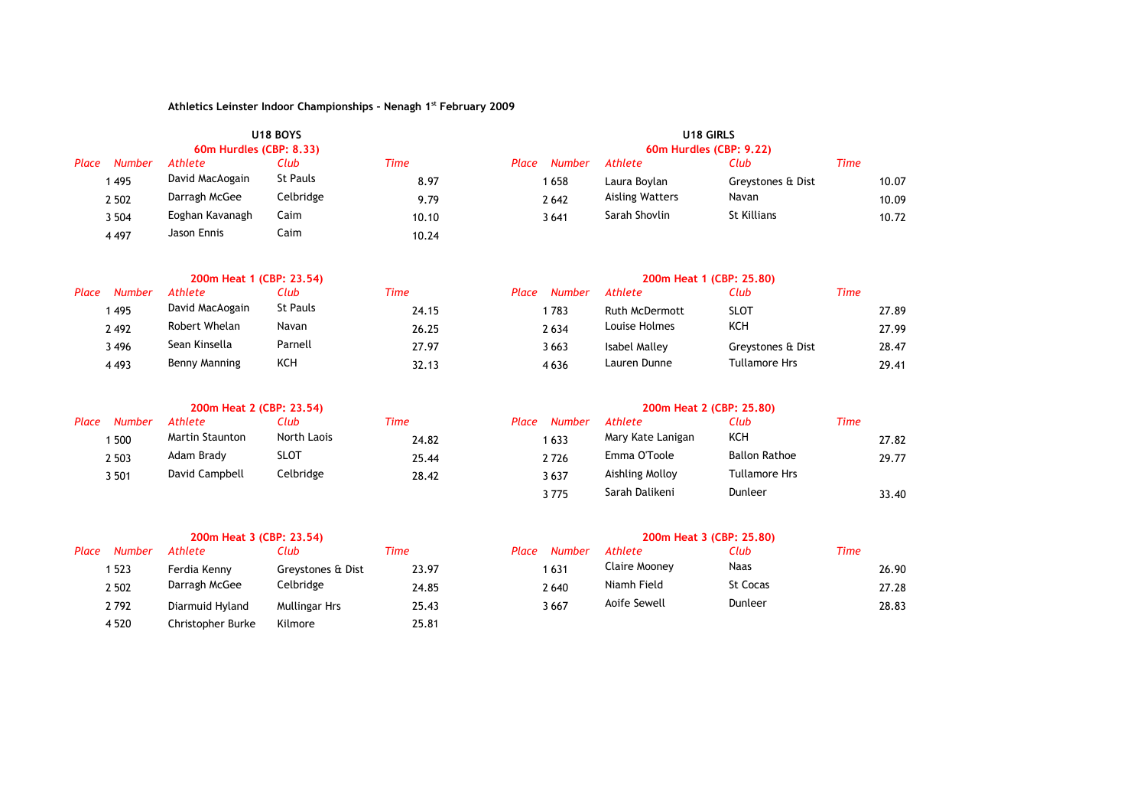|       |               |                         | <b>U18 BOYS</b> |       | U <sub>18</sub> GIRLS<br>60m Hurdles (CBP: 9.22) |                        |                   |       |  |  |
|-------|---------------|-------------------------|-----------------|-------|--------------------------------------------------|------------------------|-------------------|-------|--|--|
|       |               | 60m Hurdles (CBP: 8.33) |                 |       |                                                  |                        |                   |       |  |  |
| Place | <b>Number</b> | Athlete                 | Club            | Time  | <b>Number</b><br>Place                           | Athlete                | Club              | Time  |  |  |
|       | 495           | David MacAogain         | St Pauls        | 8.97  | 1 658                                            | Laura Bovlan           | Greystones & Dist | 10.07 |  |  |
|       | 2 5 0 2       | Darragh McGee           | Celbridge       | 9.79  | 2642                                             | <b>Aisling Watters</b> | Navan             | 10.09 |  |  |
|       | 3 5 0 4       | Eoghan Kavanagh         | Caim            | 10.10 | 3641                                             | Sarah Shovlin          | St Killians       | 10.72 |  |  |
|       | 4497          | Jason Ennis             | Caim            | 10.24 |                                                  |                        |                   |       |  |  |

|                 | 200m Heat 1 (CBP: 23.54) |          |       | 200m Heat 1 (CBP: 25.80) |                       |                      |       |  |  |
|-----------------|--------------------------|----------|-------|--------------------------|-----------------------|----------------------|-------|--|--|
| Place<br>Number | <b>Athlete</b>           | Club     | Time  | Number<br>Place          | <b>Athlete</b>        | Club                 | Time  |  |  |
| 495             | David MacAogain          | St Pauls | 24.15 | 783                      | <b>Ruth McDermott</b> | <b>SLOT</b>          | 27.89 |  |  |
| 2492            | Robert Whelan            | Navan    | 26.25 | 2634                     | Louise Holmes         | KCH                  | 27.99 |  |  |
| 3496            | Sean Kinsella            | Parnell  | 27.97 | 3 663                    | Isabel Malley         | Greystones & Dist    | 28.47 |  |  |
| 4493            | Benny Manning            | KCH      | 32.13 | 4636                     | Lauren Dunne          | <b>Tullamore Hrs</b> | 29.41 |  |  |

|       |               | 200m Heat 2 (CBP: 23.54) |             |       |                 | 200m Heat 2 (CBP: 25.80) |                      |      |
|-------|---------------|--------------------------|-------------|-------|-----------------|--------------------------|----------------------|------|
| Place | <b>Number</b> | Athlete                  | Club        | Time  | Number<br>Place | Athlete                  | Club                 | Time |
|       | 500           | <b>Martin Staunton</b>   | North Laois | 24.82 | 1633            | Mary Kate Lanigan        | KCH                  |      |
|       | 2 5 0 3       | Adam Brady               | <b>SLOT</b> | 25.44 | 2726            | Emma O'Toole             | <b>Ballon Rathoe</b> |      |
|       | 3 501         | David Campbell           | Celbridge   | 28.42 | 3637            | Aishling Molloy          | <b>Tullamore Hrs</b> |      |

|       | 200m Heat 3 (CBP: 23.54) |                   |                   |       |       |        | 200m Heat 3 (CBP: 25.80) |          |      |
|-------|--------------------------|-------------------|-------------------|-------|-------|--------|--------------------------|----------|------|
| Place | <b>Number</b>            | Athlete           | Club              | Time  | Place | Number | Athlete                  | Club     | Time |
|       | ا 523                    | Ferdia Kenny      | Greystones & Dist | 23.97 |       | 1631   | Claire Mooney            | Naas     |      |
|       | 2 5 0 2                  | Darragh McGee     | Celbridge         | 24.85 |       | 2640   | Niamh Field              | St Cocas |      |
|       | 2792                     | Diarmuid Hyland   | Mullingar Hrs     | 25.43 |       | 3667   | Aoife Sewell             | Dunleer  |      |
|       | 4520                     | Christopher Burke | Kilmore           | 25.81 |       |        |                          |          |      |

| <b>Number</b> | Athlete                | Club        | Time  | Place | <b>Number</b> | Athlete           | Club                 | <b>Time</b> |       |
|---------------|------------------------|-------------|-------|-------|---------------|-------------------|----------------------|-------------|-------|
| 500           | <b>Martin Staunton</b> | North Laois | 24.82 |       | 1 633         | Mary Kate Lanigan | KCH                  |             | 27.82 |
| 2 503         | Adam Brady             | SLOT        | 25.44 |       | 2726          | Emma O'Toole      | <b>Ballon Rathoe</b> |             | 29.77 |
| 3 501         | David Campbell         | Celbridge   | 28.42 |       | 3637          | Aishling Molloy   | <b>Tullamore Hrs</b> |             |       |
|               |                        |             |       |       | 3775          | Sarah Dalikeni    | Dunleer              |             | 33.40 |

|               | 200m Heat 3 (CBP; 23.54) |                   |       | <b>200m Heat 3 (CBP: 25.80)</b> |               |          |       |  |  |
|---------------|--------------------------|-------------------|-------|---------------------------------|---------------|----------|-------|--|--|
| <b>Number</b> | Athlete                  | Club              | Time  | Number<br>Place                 | Athlete       | Club     | Time  |  |  |
| 1 523         | Ferdia Kenny             | Greystones & Dist | 23.97 | 631                             | Claire Moonev | Naas     | 26.90 |  |  |
| 2 502         | Darragh McGee            | Celbridge         | 24.85 | 2640                            | Niamh Field   | St Cocas | 27.28 |  |  |
| 2792          | Diarmuid Hyland          | Mullingar Hrs     | 25.43 | 3667                            | Aoife Sewell  | Dunleer  | 28.83 |  |  |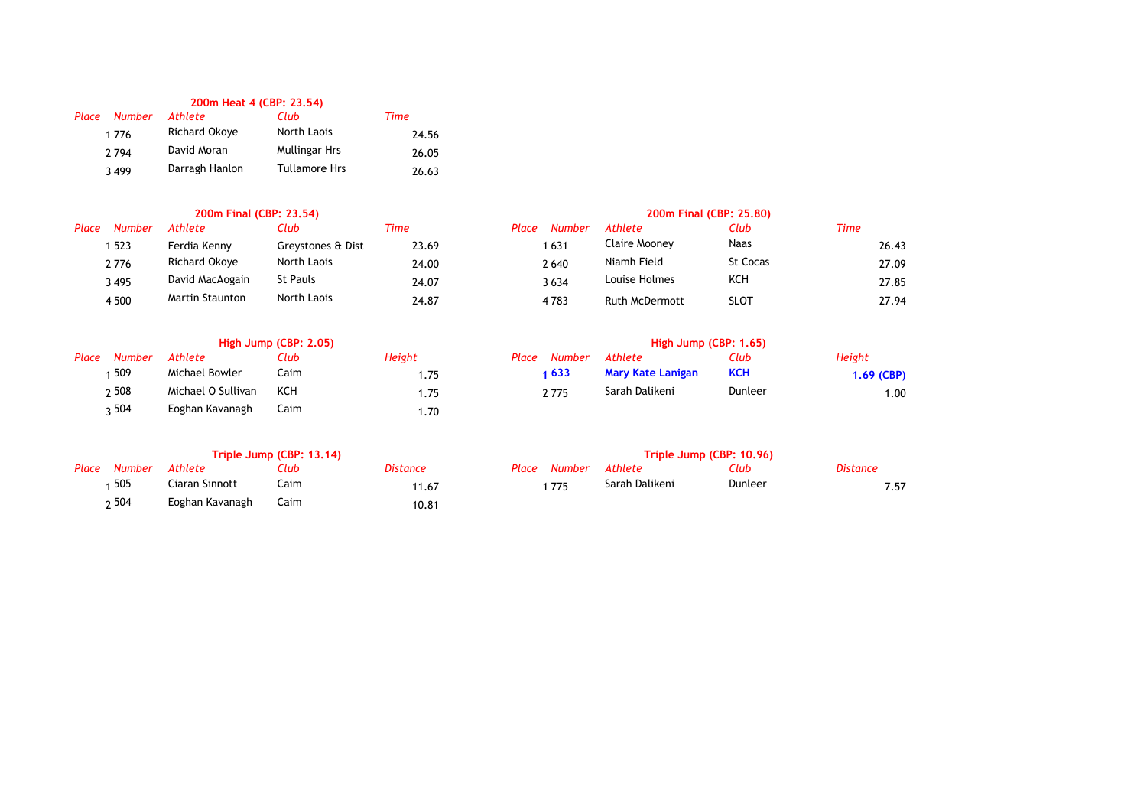# **200m Heat 4 (CBP: 23.54)**

| Place | <b>Number</b> | <b>Athlete</b>       | Club                 | Time  |
|-------|---------------|----------------------|----------------------|-------|
|       | 1776          | <b>Richard Okove</b> | North Laois          | 24.56 |
|       | 2794          | David Moran          | <b>Mullingar Hrs</b> | 26.05 |
|       | 3499          | Darragh Hanlon       | <b>Tullamore Hrs</b> | 26.63 |

| Place | <b>Number</b> | Athlete                | Club              | Time  | <b>Number</b><br>Place | Athlete               | Club            | Time |
|-------|---------------|------------------------|-------------------|-------|------------------------|-----------------------|-----------------|------|
|       | 523           | Ferdia Kenny           | Greystones & Dist | 23.69 | 1631                   | Claire Mooney         | Naas            |      |
|       | 2776          | Richard Okove          | North Laois       | 24.00 | 2640                   | Niamh Field           | <b>St Cocas</b> |      |
|       | 3495          | David MacAogain        | St Pauls          | 24.07 | 3634                   | Louise Holmes         | KCH             |      |
|       | 4500          | <b>Martin Staunton</b> | North Laois       | 24.87 | 4783                   | <b>Ruth McDermott</b> | SLOT            |      |

# **High Jump (CBP: 2.05) High Jump (CBP: 1.65)**

| Place Number | Athlete            | Club | Height |
|--------------|--------------------|------|--------|
| 1509         | Michael Bowler     | Caim | 1.75   |
| 2508         | Michael O Sullivan | KCH  | 1.75   |
| 504ء         | Eoghan Kavanagh    | Caim | 1.70   |

| Place Number Athlete |                 | Club | <i>Distance</i> |
|----------------------|-----------------|------|-----------------|
| 1 505                | Ciaran Sinnott  | Caim | 11.67           |
| ი 504                | Eoghan Kavanagh | Caim | 10.81           |

## **200m Final (CBP: 23.54) 200m Final (CBP: 25.80)**

| Athlete                | Club              | Time  | Place | Number | Athlete               | Club        | Time |       |
|------------------------|-------------------|-------|-------|--------|-----------------------|-------------|------|-------|
| Ferdia Kenny           | Greystones & Dist | 23.69 |       | 631    | Claire Moonev         | Naas        |      | 26.43 |
| Richard Okove          | North Laois       | 24.00 |       | 2 640  | Niamh Field           | St Cocas    |      | 27.09 |
| David MacAogain        | St Pauls          | 24.07 |       | 3634   | Louise Holmes         | KCH         |      | 27.85 |
| <b>Martin Staunton</b> | North Laois       | 24.87 |       | 4783   | <b>Ruth McDermott</b> | <b>SLOT</b> |      | 27.94 |
|                        |                   |       |       |        |                       |             |      |       |

| Place | Number | Athlete            | Club          | Height         | Place | Number | Athlete           | Club       | Height     |
|-------|--------|--------------------|---------------|----------------|-------|--------|-------------------|------------|------------|
|       | 509    | Michael Bowler     | Caim          |                |       | 633 ا  | Mary Kate Lanigan | <b>KCH</b> | 1.69 (CBP) |
|       | ი 508  | Michael O Sullivan | KCH           |                |       | 2775   | Sarah Dalikeni    | Dunleer    | 1.00       |
|       | - 504  | Eoghan Kayanagh    | $^{\sim}$ aim | $\overline{z}$ |       |        |                   |            |            |

# **Triple Jump (CBP: 13.14) Triple Jump (CBP: 10.96)**

| Place Number | Athlete         | Club          | Distance             | Place Number Athlete |                | Club    | <b>Distance</b> |      |
|--------------|-----------------|---------------|----------------------|----------------------|----------------|---------|-----------------|------|
| 505          | Ciaran Sinnott  | Caim          | 11.67                | 775                  | Sarah Dalikeni | Dunleer |                 | 7.57 |
| $-501$       | Eoghan Kayanagh | $C_{\rm sim}$ | $\sim$ $\sim$ $\sim$ |                      |                |         |                 |      |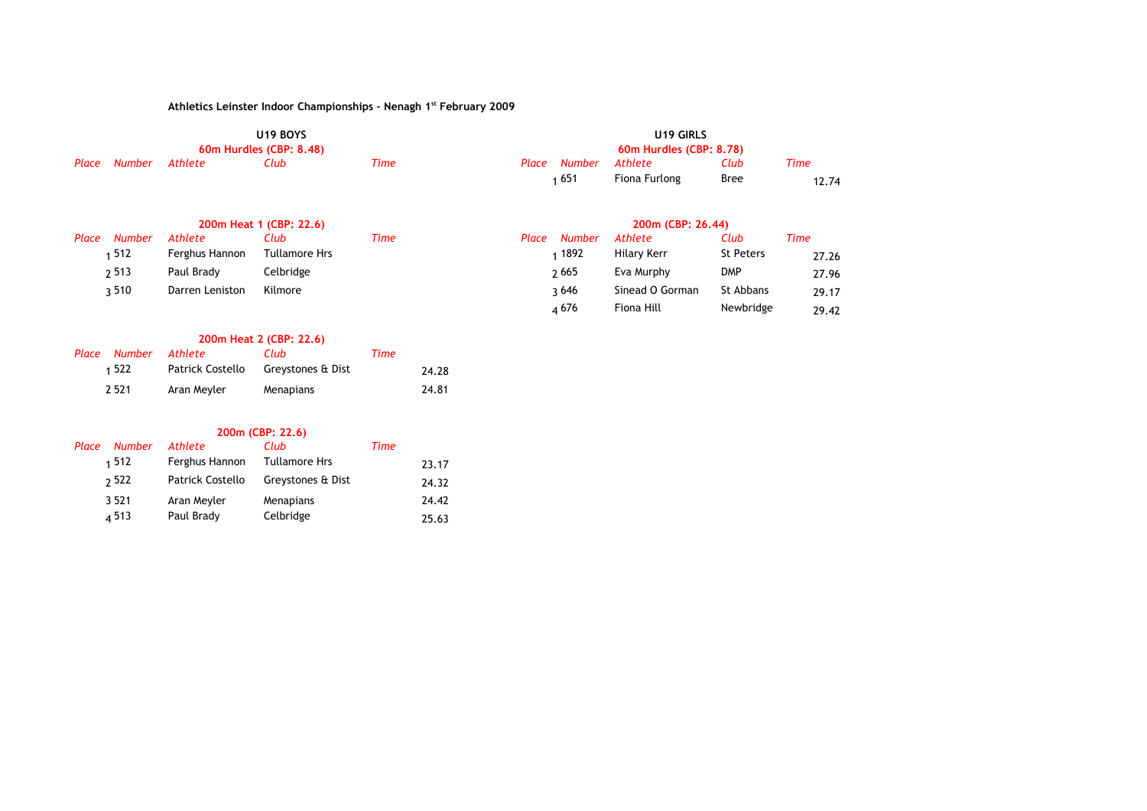|              |         | U <sub>19</sub> BOYS    |      |              | U <sub>19</sub> GIRLS   |             |       |
|--------------|---------|-------------------------|------|--------------|-------------------------|-------------|-------|
|              |         | 60m Hurdles (CBP: 8.48) |      |              | 60m Hurdles (CBP: 8.78) |             |       |
| Place Number | Athlete | Club                    | Time | Place Number | Athlete                 | Club        | Time  |
|              |         |                         |      | 1 651        | Fiona Furlong           | <b>Bree</b> | 12.74 |

|                 | 200m Heat 1 (CBP: 22.6) |               |      |       |               | 200m (CBP: 26.44) |                  |             |  |  |  |
|-----------------|-------------------------|---------------|------|-------|---------------|-------------------|------------------|-------------|--|--|--|
| Place<br>Number | Athlete                 | Club          | Time | Place | <b>Number</b> | Athlete           | Club             | <b>Time</b> |  |  |  |
| 512⊧            | Ferghus Hannon          | Tullamore Hrs |      |       | ⊺1892         | Hilary Kerr       | <b>St Peters</b> | 27.26       |  |  |  |
| 2513            | Paul Brady              | Celbridge     |      |       | 2665          | Eva Murphy        | <b>DMP</b>       | 27.96       |  |  |  |
| 3510            | Darren Leniston         | Kilmore       |      |       | २ 646         | Sinead O Gorman   | St Abbans        | 29.17       |  |  |  |
|                 |                         |               |      |       | 4676          | Fiona Hill        | Newbridge        | 29.42       |  |  |  |

# **200m Heat 2 (CBP: 22.6)**

| Place Number Athlete |                                    | Club      | Time |       |
|----------------------|------------------------------------|-----------|------|-------|
| 1 522                | Patrick Costello Greystones & Dist |           |      | 24.28 |
| 2 5 2 1              | Aran Meyler                        | Menapians |      | 24.81 |

**200m (CBP: 22.6)**

| Place | Number  | Athlete                 | Club                 | Time |       |
|-------|---------|-------------------------|----------------------|------|-------|
|       | 1512    | Ferghus Hannon          | <b>Tullamore Hrs</b> |      | 23.17 |
|       | 2 5 2 2 | <b>Patrick Costello</b> | Greystones & Dist    |      | 24.32 |
|       | 3521    | Aran Meyler             | Menapians            |      | 24.42 |
|       | 4513    | Paul Brady              | Celbridge            |      | 25.63 |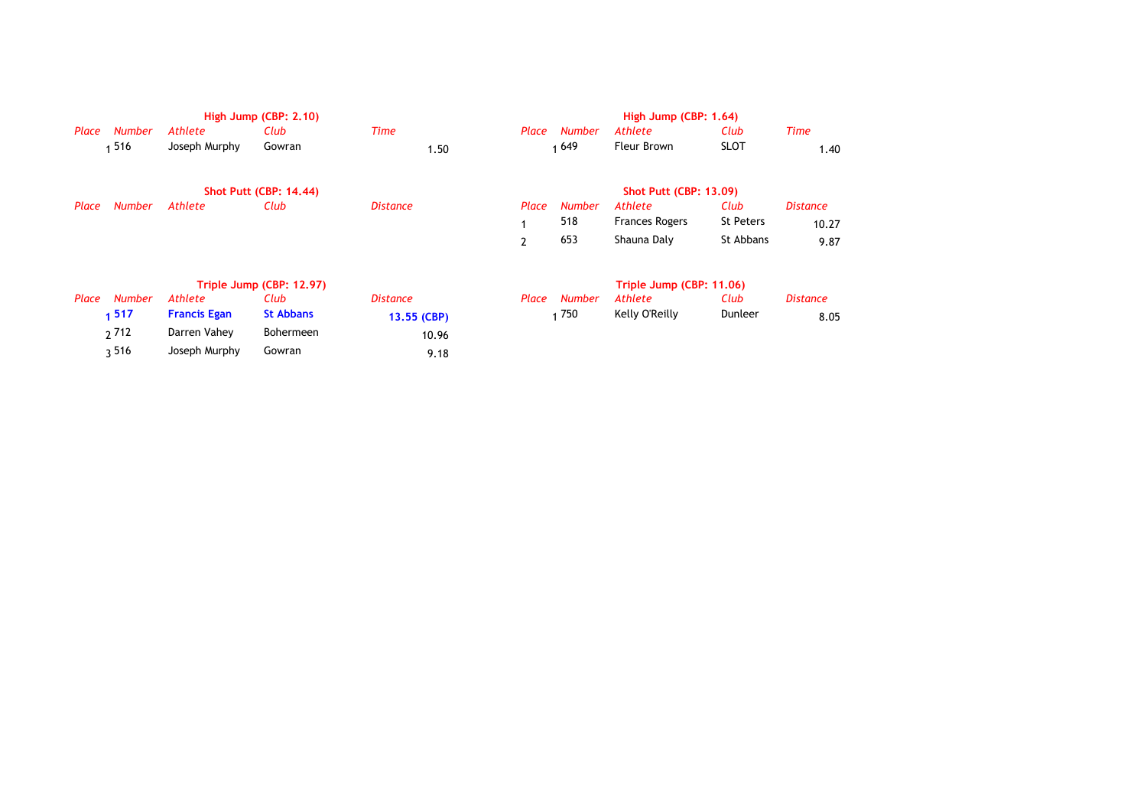|       |               |                     | High Jump (CBP: 2.10)         |                 |                |               | High Jump (CBP: 1.64)         |             |                 |
|-------|---------------|---------------------|-------------------------------|-----------------|----------------|---------------|-------------------------------|-------------|-----------------|
| Place | <b>Number</b> | Athlete             | Club                          | <b>Time</b>     | Place          | <b>Number</b> | Athlete                       | Club        | Time            |
|       | 516           | Joseph Murphy       | Gowran                        | 1.50            |                | 1649          | Fleur Brown                   | <b>SLOT</b> | 1.40            |
|       |               |                     | <b>Shot Putt (CBP: 14.44)</b> |                 |                |               | <b>Shot Putt (CBP: 13.09)</b> |             |                 |
| Place | <b>Number</b> | Athlete             | Club                          | <b>Distance</b> | Place          | <b>Number</b> | Athlete                       | Club        | <b>Distance</b> |
|       |               |                     |                               |                 |                | 518           | <b>Frances Rogers</b>         | St Peters   | 10.27           |
|       |               |                     |                               |                 | $\overline{2}$ | 653           | Shauna Daly                   | St Abbans   | 9.87            |
|       |               |                     | Triple Jump (CBP: 12.97)      |                 |                |               | Triple Jump (CBP: 11.06)      |             |                 |
| Place | <b>Number</b> | Athlete             | Club                          | <b>Distance</b> | Place          | <b>Number</b> | Athlete                       | Club        | <b>Distance</b> |
|       | 1517          | <b>Francis Egan</b> | <b>St Abbans</b>              | 13.55 (CBP)     |                | 1750          | Kelly O'Reilly                | Dunleer     | 8.05            |
|       | 2 7 1 2       | Darren Vahey        | Bohermeen                     | 10.96           |                |               |                               |             |                 |
|       | 3516          | Joseph Murphy       | Gowran                        | 9.18            |                |               |                               |             |                 |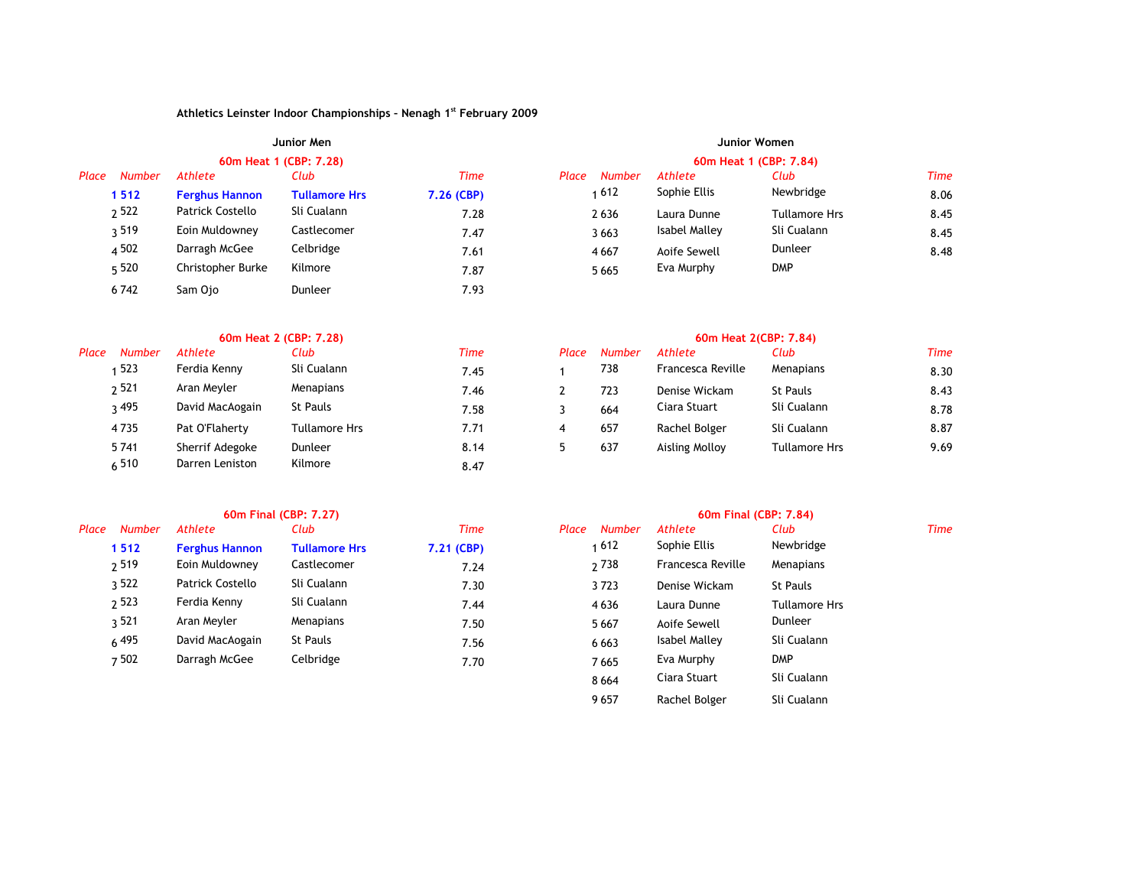|       |               |                       | Junior Men             |            | Junior Women           |               |                      |      |  |  |
|-------|---------------|-----------------------|------------------------|------------|------------------------|---------------|----------------------|------|--|--|
|       |               |                       | 60m Heat 1 (CBP: 7,28) |            | 60m Heat 1 (CBP: 7.84) |               |                      |      |  |  |
| Place | <b>Number</b> | Athlete               | Club                   | Time       | <b>Number</b><br>Place | Athlete       | Club                 | Time |  |  |
|       | 1512          | <b>Ferghus Hannon</b> | <b>Tullamore Hrs</b>   | 7.26 (CBP) | 612                    | Sophie Ellis  | Newbridge            | 8.06 |  |  |
|       | 2522          | Patrick Costello      | Sli Cualann            | 7.28       | 2636                   | Laura Dunne   | <b>Tullamore Hrs</b> | 8.45 |  |  |
|       | 3519          | Eoin Muldowney        | Castlecomer            | 7.47       | 3663                   | Isabel Malley | Sli Cualann          | 8.45 |  |  |
|       | 4 5 0 2       | Darragh McGee         | Celbridge              | 7.61       | 4667                   | Aoife Sewell  | Dunleer              | 8.48 |  |  |
|       | 5 520         | Christopher Burke     | Kilmore                | 7.87       | 5 6 6 5                | Eva Murphy    | <b>DMP</b>           |      |  |  |
|       | 6742          | Sam Ojo               | <b>Dunleer</b>         | 7.93       |                        |               |                      |      |  |  |

|       |               |                 | 60m Heat 2 (CBP: 7.28) |             | 60m Heat 2(CBP: 7.84) |               |                   |                      |             |  |
|-------|---------------|-----------------|------------------------|-------------|-----------------------|---------------|-------------------|----------------------|-------------|--|
| Place | <b>Number</b> | Athlete         | Club                   | <b>Time</b> | Place                 | <b>Number</b> | Athlete           | Club                 | <b>Time</b> |  |
|       | 523           | Ferdia Kenny    | Sli Cualann            | 7.45        |                       | 738           | Francesca Reville | Menapians            | 8.30        |  |
|       | 2521          | Aran Meyler     | Menapians              | 7.46        |                       | 723           | Denise Wickam     | St Pauls             | 8.43        |  |
|       | २ 495         | David MacAogain | St Pauls               | 7.58        |                       | 664           | Ciara Stuart      | Sli Cualann          | 8.78        |  |
|       | 4735          | Pat O'Flaherty  | Tullamore Hrs          | 7.71        | 4                     | 657           | Rachel Bolger     | Sli Cualann          | 8.87        |  |
|       | 5741          | Sherrif Adegoke | Dunleer                | 8.14        |                       | 637           | Aisling Molloy    | <b>Tullamore Hrs</b> | 9.69        |  |
|       | 6510          | Darren Leniston | Kilmore                | 8.47        |                       |               |                   |                      |             |  |

| насе<br>number | Athlete               | LIUD                 | 11me       | riace<br>number | Athlete              | LIUD            |
|----------------|-----------------------|----------------------|------------|-----------------|----------------------|-----------------|
| 1512           | <b>Ferghus Hannon</b> | <b>Tullamore Hrs</b> | 7.21 (CBP) | 1612            | Sophie Ellis         | Newbridge       |
| 2519           | Eoin Muldowney        | Castlecomer          | 7.24       | 2738            | Francesca Reville    | Menapians       |
| ว 522          | Patrick Costello      | Sli Cualann          | 7.30       | 3723            | Denise Wickam        | <b>St Pauls</b> |
| 2523           | Ferdia Kenny          | Sli Cualann          | 7.44       | 4636            | Laura Dunne          | Tullamore       |
| ว 521          | Aran Meyler           | Menapians            | 7.50       | 5667            | Aoife Sewell         | Dunleer         |
| 6495           | David MacAogain       | <b>St Pauls</b>      | 7.56       | 6 6 6 3         | <b>Isabel Malley</b> | Sli Cualann     |
| 7502           | Darragh McGee         | Celbridge            | 7.70       | 7665            | Eva Murphy           | <b>DMP</b>      |

|                         |                                                                          |                       |                        | 60m Final (CBP: 7.84) |                      |             |  |
|-------------------------|--------------------------------------------------------------------------|-----------------------|------------------------|-----------------------|----------------------|-------------|--|
| Athlete                 | Club                                                                     | Time                  | <b>Number</b><br>Place | <b>Athlete</b>        | Club                 | <b>Time</b> |  |
| <b>Ferghus Hannon</b>   | <b>Tullamore Hrs</b>                                                     | 7.21 (CBP)            | 1612                   | Sophie Ellis          | Newbridge            |             |  |
| Eoin Muldowney          | Castlecomer                                                              | 7.24                  | 2 7 3 8                | Francesca Reville     | Menapians            |             |  |
| <b>Patrick Costello</b> | Sli Cualann                                                              | 7.30                  | 3723                   | Denise Wickam         | St Pauls             |             |  |
| Ferdia Kenny            | Sli Cualann                                                              | 7.44                  | 4636                   | Laura Dunne           | <b>Tullamore Hrs</b> |             |  |
| Aran Meyler             | Menapians                                                                | 7.50                  | 5 6 6 7                | Aoife Sewell          | Dunleer              |             |  |
| David MacAogain         | St Pauls                                                                 | 7.56                  | 6 6 6 3                | Isabel Malley         | Sli Cualann          |             |  |
| Darragh McGee           | Celbridge                                                                | 7.70                  | 7665                   | Eva Murphy            | <b>DMP</b>           |             |  |
|                         |                                                                          |                       | 8 6 6 4                | Ciara Stuart          | Sli Cualann          |             |  |
|                         |                                                                          |                       | 9657                   | Rachel Bolger         | Sli Cualann          |             |  |
|                         | <b>Number</b><br>1512<br>2519<br>3522<br>2523<br>วุ 521<br>6 495<br>7502 | 60m Final (CBP: 7.27) |                        |                       |                      |             |  |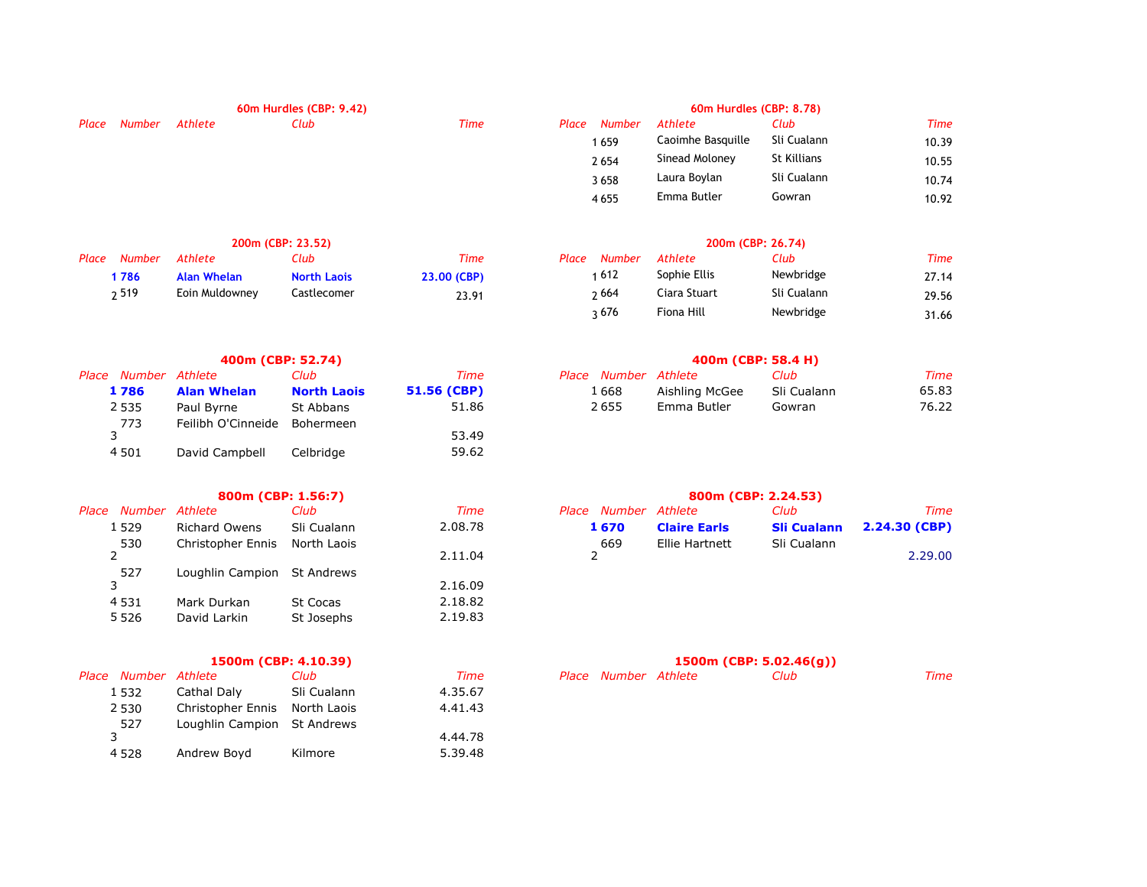|        |         | 60m Hurdles (CBP: 9.42) |      | 60m Hurdles (CBP: 8.78) |               |                          |             |             |  |
|--------|---------|-------------------------|------|-------------------------|---------------|--------------------------|-------------|-------------|--|
| Number | Athlete | Club                    | Time |                         | <b>Number</b> | Athlete                  | Club        | <b>Time</b> |  |
|        |         |                         |      |                         | 659           | Caoimhe Basquille        | Sli Cualann | 10.39       |  |
|        |         |                         |      |                         |               | Sinead Moloney           | St Killians | 10.55       |  |
|        |         |                         |      |                         | 3658          | Laura Boylan             | Sli Cualann | 10.74       |  |
|        |         |                         |      |                         |               | Emma Butler              | Gowran      | 10.92       |  |
|        |         |                         |      |                         |               |                          |             |             |  |
|        |         |                         |      |                         |               | Place<br>2 6 5 4<br>4655 |             |             |  |

|                  |                | 200m (CBP: 23.52)  |             | 200m (CBP: 26.74) |              |             |       |  |
|------------------|----------------|--------------------|-------------|-------------------|--------------|-------------|-------|--|
| Place Number     | Athlete        | Club               | Time        | Place Number      | Athlete      | Club        | Time  |  |
| 1786             | Alan Whelan    | <b>North Laois</b> | 23,00 (CBP) | ∣ 612             | Sophie Ellis | Newbridge   | 27.14 |  |
| <sup>2</sup> 519 | Eoin Muldowney | Castlecomer        | 23.91       | 2664              | Ciara Stuart | Sli Cualann | 29.56 |  |

|                      | 400m (CBP: 52.74)  |                    |             | 400m (CBP: 58.4 H)   |                |             |       |  |
|----------------------|--------------------|--------------------|-------------|----------------------|----------------|-------------|-------|--|
| Place Number Athlete |                    | Club               | Time        | Place Number Athlete |                | Club        | Time  |  |
| 1 7 8 6              | <b>Alan Whelan</b> | <b>North Laois</b> | 51.56 (CBP) | 1668                 | Aishling McGee | Sli Cualann | 65.83 |  |
| 2 5 3 5              | Paul Byrne         | St Abbans          | 51.86       | 2655                 | Emma Butler    | Gowran      | 76.22 |  |
| 773                  | Feilibh O'Cinneide | Bohermeen          |             |                      |                |             |       |  |
|                      |                    |                    | 53.49       |                      |                |             |       |  |
| 4501                 | David Campbell     | Celbridge          | 59.62       |                      |                |             |       |  |

|                  | 800m (CBP: 1.56:7)          |             |         |                      |                     | 800m (CBP: 2.24.53) |
|------------------|-----------------------------|-------------|---------|----------------------|---------------------|---------------------|
| e Number Athlete |                             | Club        | Time    | Place Number Athlete |                     | Club                |
| 1 5 2 9          | <b>Richard Owens</b>        | Sli Cualann | 2.08.78 | 1 670                | <b>Claire Earls</b> | <b>Sli Cuala</b>    |
| 530              | Christopher Ennis           | North Laois |         | 669                  | Ellie Hartnett      | Sli Cualar          |
|                  |                             |             | 2.11.04 |                      |                     |                     |
| 527              | Loughlin Campion St Andrews |             |         |                      |                     |                     |

| ، ے ب   | Loughin Campion Jt Andrews |                 | 2.16.09 |
|---------|----------------------------|-----------------|---------|
| 4531    | Mark Durkan                | <b>St Cocas</b> | 2.18.82 |
| 5 5 2 6 | David Larkin               | St Josephs      | 2.19.83 |

|     |                         |                      |                                                                          |  | 1500m (CBP: 5.02.46(q)) |
|-----|-------------------------|----------------------|--------------------------------------------------------------------------|--|-------------------------|
|     |                         | Club                 | Time                                                                     |  | Club                    |
|     | Cathal Daly             | Sli Cualann          | 4.35.67                                                                  |  |                         |
|     |                         | North Laois          | 4.41.43                                                                  |  |                         |
| 527 |                         |                      |                                                                          |  |                         |
|     |                         |                      | 4.44.78                                                                  |  |                         |
|     | Andrew Boyd             | Kilmore              | 5.39.48                                                                  |  |                         |
|     | 1532<br>2 5 3 0<br>4528 | Place Number Athlete | 1500m (CBP: 4.10.39)<br>Christopher Ennis<br>Loughlin Campion St Andrews |  | Place Number Athlete    |

| <u>IVUHDEL</u> | A                 | .           | ,,,,,, |
|----------------|-------------------|-------------|--------|
| 1659           | Caoimhe Basquille | Sli Cualann | 10.39  |
| 2654           | Sinead Moloney    | St Killians | 10.55  |
| 3658           | Laura Boylan      | Sli Cualann | 10.74  |
| 4655           | Emma Butler       | Gowran      | 10.92  |
|                |                   |             |        |

| Place | <b>Number</b> | Athlete      | Club        | Time  |
|-------|---------------|--------------|-------------|-------|
|       | 1 612         | Sophie Ellis | Newbridge   | 27.14 |
|       | າ 664         | Ciara Stuart | Sli Cualann | 29.56 |
|       | २ 676         | Fiona Hill   | Newbridge   | 31.66 |

|                |                    | 400m (CBP: 52.74)  |             |                      | 400m (CBP: 58.4 H) |             |       |
|----------------|--------------------|--------------------|-------------|----------------------|--------------------|-------------|-------|
| Number Athlete |                    | Club               | Time        | Place Number Athlete |                    | Club        | Time  |
| 1786           | <b>Alan Whelan</b> | <b>North Laois</b> | 51.56 (CBP) | 1 668                | Aishling McGee     | Sli Cualann | 65.83 |
| 2535           | Paul Byrne         | St Abbans          | 51.86       | 2 655                | Emma Butler        | Gowran      | 76.22 |

| Place Number Athlete |                               | Club .      | Time    | Place Number Athlete |                     | Club        | Time                             |
|----------------------|-------------------------------|-------------|---------|----------------------|---------------------|-------------|----------------------------------|
| 529ء                 | Richard Owens                 | Sli Cualann | 2.08.78 | 1670                 | <b>Claire Earls</b> |             | <b>Sli Cualann 2.24.30 (CBP)</b> |
| 530                  | Christopher Ennis North Laois |             |         | 669                  | Ellie Hartnett      | Sli Cualann |                                  |
|                      |                               |             | 2.11.04 |                      |                     |             | 2.29.00                          |

| Place Number Athlete |             | Club -      | Time    | Place Number Athlete |  | Time |
|----------------------|-------------|-------------|---------|----------------------|--|------|
| 1532                 | Cathal Daly | Sli Cualann | 4.35.67 |                      |  |      |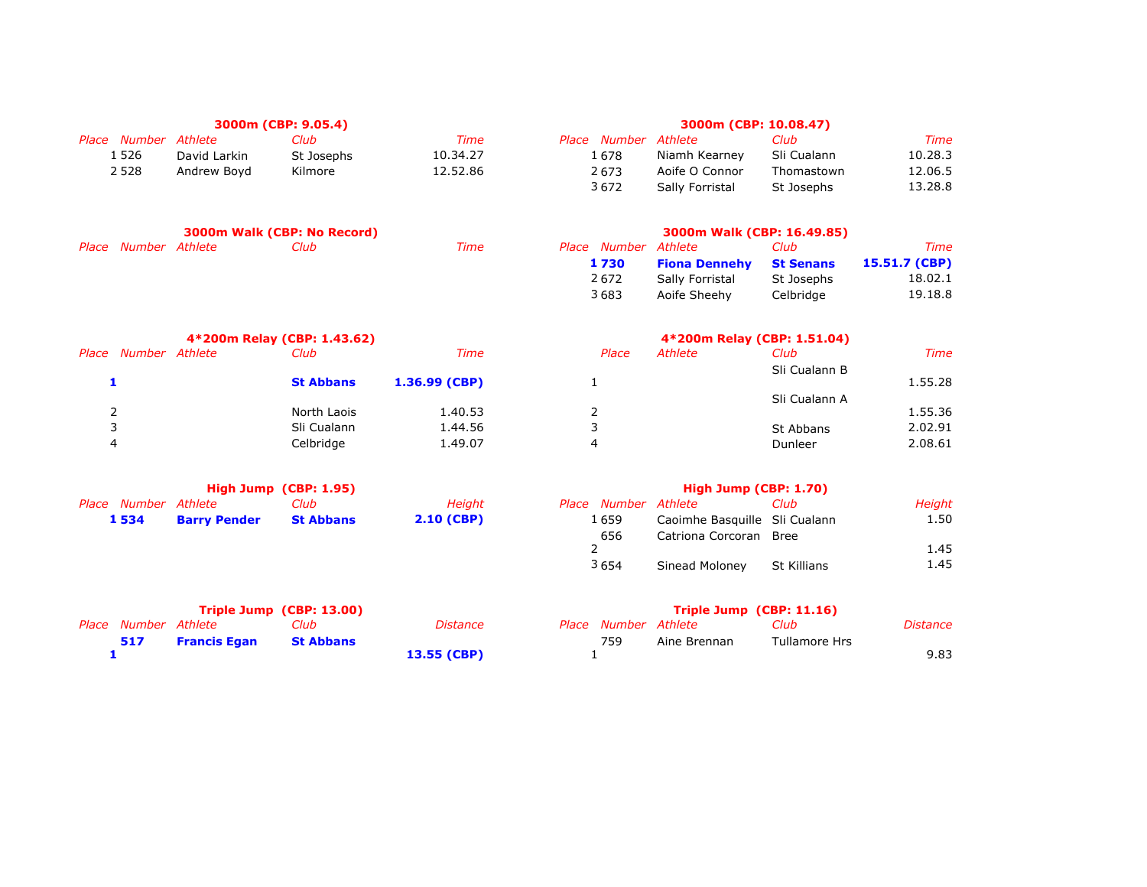|                      |              | 3000m (CBP: 9.05.4) |          |                      | 3000m (CBP: 10.08.47) |             |         |
|----------------------|--------------|---------------------|----------|----------------------|-----------------------|-------------|---------|
| Place Number Athlete |              | Club                | Time     | Place Number Athlete |                       | Club        | Time    |
| 526 ء                | David Larkin | St Josephs          | 10.34.27 | 1 678                | Niamh Kearney         | Sli Cualann | 10.28.3 |
| 2 5 2 8              | Andrew Bovd  | Kilmore             | 12.52.86 | 2673                 | Aoife O Connor        | Thomastown  | 12.06.5 |
|                      |              |                     |          | 3672                 | Sally Forristal       | St Josephs  | 13.28.8 |

|                      | 3000m Walk (CBP: No Record) |      |                             | 3000m Walk (CBP: 16.49.85)     |            |               |
|----------------------|-----------------------------|------|-----------------------------|--------------------------------|------------|---------------|
| Place Number Athlete | Club                        | Time | <i>Place Number Athlete</i> |                                | Club       | Time          |
|                      |                             |      | 1 730                       | <b>Fiona Dennehy</b> St Senans |            | 15.51.7 (CBP) |
|                      |                             |      | 2672                        | Sally Forristal                | St Josephs | 18.02.1       |

|       |                | 4*200m Relay (CBP: 1.43.62) |                 |       |         | 4*200m Relay (CBP: 1.51.04) |         |
|-------|----------------|-----------------------------|-----------------|-------|---------|-----------------------------|---------|
| Place | Number Athlete | Club                        | Time            | Place | Athlete | Club                        | Time    |
|       |                | <b>St Abbans</b>            | $1.36.99$ (CBP) |       |         | Sli Cualann B               | 1.55.28 |
|       |                |                             |                 |       |         | Sli Cualann A               |         |
|       |                | North Laois                 | 1.40.53         |       |         |                             | 1.55.36 |
|       |                | Sli Cualann                 | 1.44.56         |       |         | St Abbans                   | 2.02.91 |
|       |                | Celbridge                   | 1.49.07         | 4     |         | Dunleer                     | 2.08.61 |

|                      |                     | High Jump (CBP: 1.95) |              |                      | High Jump (CBP: 1.70)         |      |        |
|----------------------|---------------------|-----------------------|--------------|----------------------|-------------------------------|------|--------|
| Place Number Athlete |                     | Club                  | Height       | Place Number Athlete |                               | Club | Height |
| 1534                 | <b>Barry Pender</b> | <b>St Abbans</b>      | $2.10$ (CBP) | 1 659                | Caoimhe Basquille Sli Cualann |      | 1.50   |
|                      |                     |                       |              | 656                  | Catriona Corcoran Bree        |      |        |
|                      |                     |                       |              |                      |                               |      | 45     |

| High Jump (CBP: 1.70) |
|-----------------------|
|-----------------------|

| ce Number Athlete |                               | Club               | <b>Height</b> |
|-------------------|-------------------------------|--------------------|---------------|
| 1 659             | Caoimhe Basquille Sli Cualann |                    | 1.50          |
| 656               | Catriona Corcoran Bree        |                    |               |
|                   |                               |                    | 1.45          |
| 3654              | Sinead Moloney                | <b>St Killians</b> | 1.45          |
|                   |                               |                    |               |

3 683 19.18.8 Aoife Sheehy Celbridge

| Triple Jump (CBP: 13.00) |                     |                  |             | Triple Jump $(CBP: 11.16)$ |                      |              |               |          |
|--------------------------|---------------------|------------------|-------------|----------------------------|----------------------|--------------|---------------|----------|
| Place Number Athlete     |                     | ∵luh             | Distance    |                            | Place Number Athlete |              | Club          | Distance |
| 517                      | <b>Francis Egan</b> | <b>St Abbans</b> |             |                            | 759                  | Aine Brennan | Tullamore Hrs |          |
|                          |                     |                  | 13.55 (CBP) |                            |                      |              |               | 9.83     |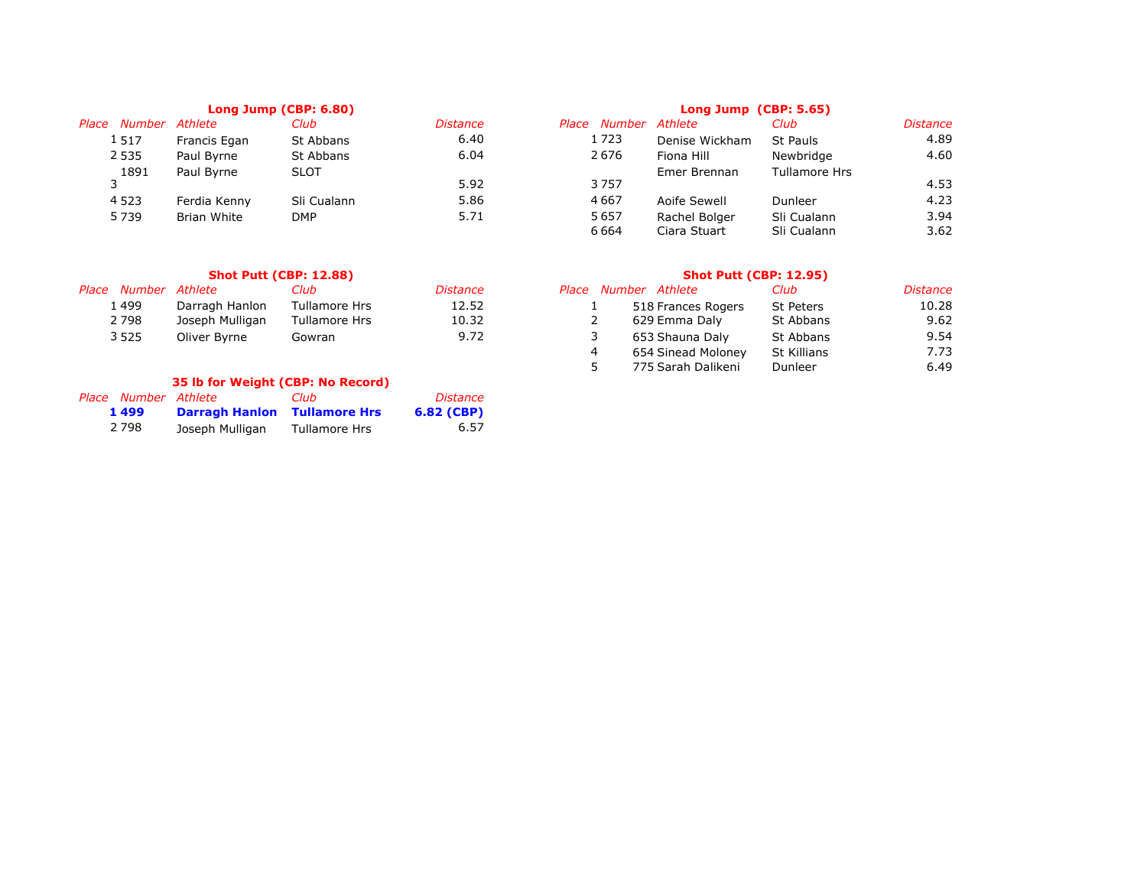|                 | Long Jump (CBP: 6.80) |             |                 |                             | Long Jump (CBP: 5.65) |                             |                      |  |  |
|-----------------|-----------------------|-------------|-----------------|-----------------------------|-----------------------|-----------------------------|----------------------|--|--|
| Number<br>Place | Athlete               | Club        | <i>Distance</i> | Number Athlete<br>Place     |                       | Club                        | <b>Distance</b>      |  |  |
| 1517            | Francis Egan          | St Abbans   | 6.40            | 1723                        | Denise Wickham        | St Pauls                    | 4.89                 |  |  |
| 2 5 3 5         | Paul Byrne            | St Abbans   | 6.04            | 2676                        | Fiona Hill            | Newbridge                   | 4.60                 |  |  |
| 1891            | Paul Byrne            | <b>SLOT</b> |                 |                             | Emer Brennan          | <b>Tullamore Hrs</b>        |                      |  |  |
|                 |                       |             | 5.92            | 3757                        |                       |                             | 4.53                 |  |  |
| 4 5 2 3         | Ferdia Kenny          | Sli Cualann | 5.86            | 4667                        | Aoife Sewell          | Dunleer                     | 4.23                 |  |  |
| 5739            | Brian White           | DMP         | 5.71            | 5657                        | Rachel Bolger         | Sli Cualann                 | 3.94                 |  |  |
|                 |                       |             |                 | $\sim$ $\sim$ $\sim$ $\sim$ | $\sim$ $\sim$ $\sim$  | $\sim$ $\sim$ $\sim$ $\sim$ | $\sim$ $\sim$ $\sim$ |  |  |

|                      |                 | <b>Shot Putt (CBP: 12.88)</b> |          | <b>Shot Putt (CBP: 12.95)</b> |                  |          |  |  |
|----------------------|-----------------|-------------------------------|----------|-------------------------------|------------------|----------|--|--|
| Place Number Athlete |                 | Club                          | Distance | Place Number Athlete          | Club             | Distance |  |  |
| 499ء                 | Darragh Hanlon  | Tullamore Hrs                 | 12.52    | 518 Frances Rogers            | <b>St Peters</b> | 10.28    |  |  |
| 2 798                | Joseph Mulligan | Tullamore Hrs                 | 10.32    | 629 Emma Dalv                 | St Abbans        | 9.62     |  |  |
| 3 525                | Oliver Byrne    | Gowran                        | 9.72     | 653 Shauna Dalv               | St Abbans        | 9.54     |  |  |

# **35 lb for Weight (CBP: No Record)**

| Place Number Athlete |                                     | Club          | Distance     |
|----------------------|-------------------------------------|---------------|--------------|
| 1 4 9 9              | <b>Darragh Hanlon</b> Tullamore Hrs |               | $6.82$ (CBP) |
| 2 7 9 8              | Joseph Mulligan                     | Tullamore Hrs | 6.57         |

|        | Long Jump (CBP: 6.80) |             |                 | Long Jump (CBP: 5.65) |                |                      |                 |  |
|--------|-----------------------|-------------|-----------------|-----------------------|----------------|----------------------|-----------------|--|
| Number | Athlete               | Club        | <i>Distance</i> | Place Number          | Athlete        | Club                 | <b>Distance</b> |  |
| 1517   | Francis Egan          | St Abbans   | 6.40            | 1723                  | Denise Wickham | St Pauls             | 4.89            |  |
| 2 535  | Paul Byrne            | St Abbans   | 6.04            | 2676                  | Fiona Hill     | Newbridge            | 4.60            |  |
| 1891   | Paul Byrne            | <b>SLOT</b> |                 |                       | Emer Brennan   | <b>Tullamore Hrs</b> |                 |  |
| 3      |                       |             | 5.92            | 3757                  |                |                      | 4.53            |  |
| 4 523  | Ferdia Kenny          | Sli Cualann | 5.86            | 4667                  | Aoife Sewell   | Dunleer              | 4.23            |  |
| 5739   | Brian White           | <b>DMP</b>  | 5.71            | 5657                  | Rachel Bolger  | Sli Cualann          | 3.94            |  |
|        |                       |             |                 | 6664                  | Ciara Stuart   | Sli Cualann          | 3.62            |  |
|        |                       |             |                 |                       |                |                      |                 |  |

| Number Athlete |                 | Club                 | <i>Distance</i> |   | Place Number Athlete | Club             | <i>Distance</i> |
|----------------|-----------------|----------------------|-----------------|---|----------------------|------------------|-----------------|
| 1499           | Darragh Hanlon  | <b>Tullamore Hrs</b> | 12.52           |   | 518 Frances Rogers   | <b>St Peters</b> | 10.28           |
| 2798           | Joseph Mulligan | <b>Tullamore Hrs</b> | 10.32           |   | 629 Emma Daly        | St Abbans        | 9.62            |
| 3525           | Oliver Byrne    | Gowran               | 9.72            |   | 653 Shauna Daly      | St Abbans        | 9.54            |
|                |                 |                      |                 | 4 | 654 Sinead Molonev   | St Killians      | 7.73            |
|                |                 |                      |                 |   | 775 Sarah Dalikeni   | Dunleer          | 6.49            |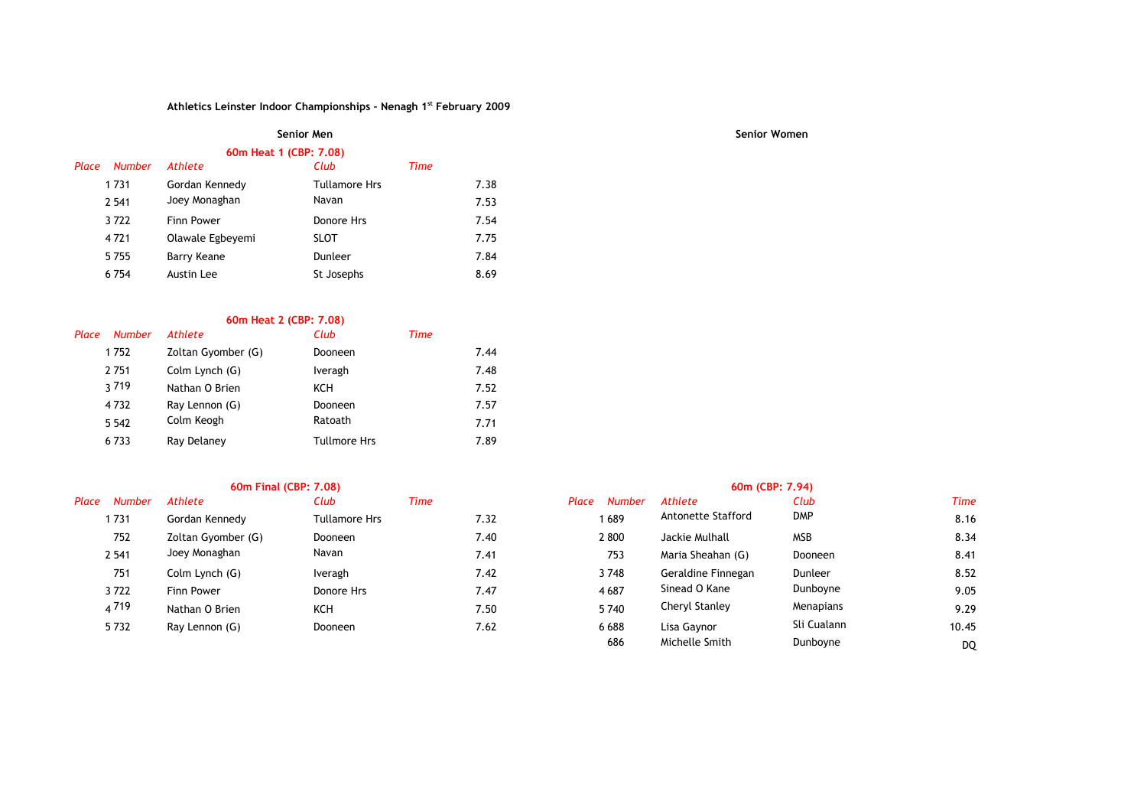# **60m Heat 1 (CBP: 7.08)**

| Place | <b>Number</b> | <b>Athlete</b>    | Club                 | Time |      |
|-------|---------------|-------------------|----------------------|------|------|
|       | 1 7 3 1       | Gordan Kennedy    | <b>Tullamore Hrs</b> |      | 7.38 |
|       | 2 5 4 1       | Joey Monaghan     | Navan                |      | 7.53 |
|       | 3722          | <b>Finn Power</b> | Donore Hrs           |      | 7.54 |
|       | 4721          | Olawale Egbeyemi  | <b>SLOT</b>          |      | 7.75 |
|       | 5755          | Barry Keane       | Dunleer              |      | 7.84 |
|       | 6754          | Austin Lee        | St Josephs           |      | 8.69 |
|       |               |                   |                      |      |      |

### **60m Heat 2 (CBP: 7.08)**

| Place | <b>Number</b> | <b>Athlete</b>     | Club                | Time |
|-------|---------------|--------------------|---------------------|------|
|       | 1752          | Zoltan Gyomber (G) | Dooneen             | 7.44 |
|       | 2751          | Colm Lynch (G)     | Iveragh             | 7.48 |
|       | <b>3719</b>   | Nathan O Brien     | KCH                 | 7.52 |
|       | 4732          | Ray Lennon (G)     | Dooneen             | 7.57 |
|       | 5 5 4 2       | Colm Keogh         | Ratoath             | 7.71 |
|       | 6733          | Ray Delaney        | <b>Tullmore Hrs</b> | 7.89 |

|       |               | 60m Final (CBP: 7.08) |               |      |      | 60m (CBP: 7.94) |               |                    |             |             |
|-------|---------------|-----------------------|---------------|------|------|-----------------|---------------|--------------------|-------------|-------------|
| Place | <b>Number</b> | Athlete               | Club          | Time |      | Place           | <b>Number</b> | Athlete            | Club        | <b>Time</b> |
|       | 1731          | Gordan Kennedy        | Tullamore Hrs |      | 7.32 |                 | 1689          | Antonette Stafford | DMP         | 8.16        |
|       | 752           | Zoltan Gyomber (G)    | Dooneen       |      | 7.40 |                 | 2800          | Jackie Mulhall     | <b>MSB</b>  | 8.34        |
|       | 2 5 4 1       | Joey Monaghan         | Navan         |      | 7.41 |                 | 753           | Maria Sheahan (G)  | Dooneen     | 8.41        |
|       | 751           | Colm Lynch (G)        | Iveragh       |      | 7.42 |                 | 3748          | Geraldine Finnegan | Dunleer     | 8.52        |
|       | 3722          | Finn Power            | Donore Hrs    |      | 7.47 |                 | 4687          | Sinead O Kane      | Dunboyne    | 9.05        |
|       | 4719          | Nathan O Brien        | KCH           |      | 7.50 |                 | 5740          | Cheryl Stanley     | Menapians   | 9.29        |
|       | 5732          | Ray Lennon (G)        | Dooneen       |      | 7.62 |                 | 6688          | Lisa Gaynor        | Sli Cualann | 10.45       |

| Number | <b>Athlete</b>     | Club                 | Time | Place<br><b>Number</b> | Athlete            | Club        | <b>Time</b> |
|--------|--------------------|----------------------|------|------------------------|--------------------|-------------|-------------|
| 731    | Gordan Kennedy     | <b>Tullamore Hrs</b> | 7.32 | 1689                   | Antonette Stafford | <b>DMP</b>  | 8.16        |
| 752    | Zoltan Gyomber (G) | <b>Dooneen</b>       | 7.40 | 2 800                  | Jackie Mulhall     | <b>MSB</b>  | 8.34        |
| 541    | Joey Monaghan      | Navan                | 7.41 | 753                    | Maria Sheahan (G)  | Dooneen     | 8.41        |
| 751    | Colm Lynch (G)     | Iveragh              | 7.42 | 3748                   | Geraldine Finnegan | Dunleer     | 8.52        |
| 722    | <b>Finn Power</b>  | Donore Hrs           | 7.47 | 4687                   | Sinead O Kane      | Dunboyne    | 9.05        |
| 719    | Nathan O Brien     | KCH                  | 7.50 | 5740                   | Cheryl Stanley     | Menapians   | 9.29        |
| 732    | Ray Lennon (G)     | <b>Dooneen</b>       | 7.62 | 6688                   | Lisa Gaynor        | Sli Cualann | 10.45       |
|        |                    |                      |      | 686                    | Michelle Smith     | Dunboyne    | <b>DQ</b>   |

### **Senior Men Senior Women**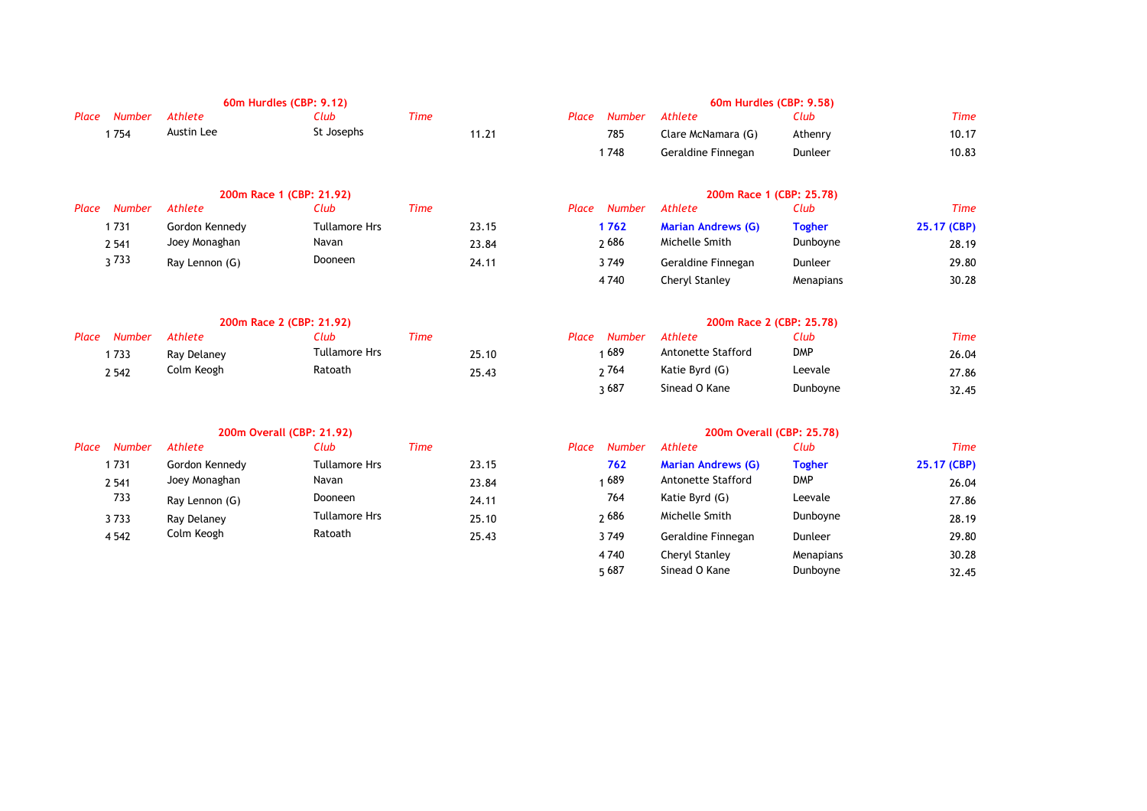|                        | 60m Hurdles (CBP: 9.12) |                          |      |       |       |               | 60m Hurdles (CBP: 9.58)   |               |             |
|------------------------|-------------------------|--------------------------|------|-------|-------|---------------|---------------------------|---------------|-------------|
| Number<br>Place        | Athlete                 | Club                     | Time |       | Place | <b>Number</b> | Athlete                   | Club          | Time        |
| 1754                   | Austin Lee              | St Josephs               |      | 11.21 |       | 785           | Clare McNamara (G)        | Athenry       | 10.17       |
|                        |                         |                          |      |       |       | 1748          | Geraldine Finnegan        | Dunleer       | 10.83       |
|                        |                         | 200m Race 1 (CBP: 21.92) |      |       |       |               | 200m Race 1 (CBP: 25.78)  |               |             |
| Place<br><b>Number</b> | Athlete                 | Club                     | Time |       | Place | Number        | Athlete                   | Club          | Time        |
| 1731                   | Gordon Kennedy          | <b>Tullamore Hrs</b>     |      | 23.15 |       | 1762          | <b>Marian Andrews (G)</b> | <b>Togher</b> | 25.17 (CBP) |
| 2 5 4 1                | Joey Monaghan           | Navan                    |      | 23.84 |       | 2686          | Michelle Smith            | Dunboyne      | 28.19       |
| 3733                   | Ray Lennon (G)          | Dooneen                  |      | 24.11 |       | 3749          | Geraldine Finnegan        | Dunleer       | 29.80       |
|                        |                         |                          |      |       |       | 4 7 4 0       | Cheryl Stanley            | Menapians     | 30.28       |

| 200m Race 2 (CBP: 21.92) |             |               |      |       |  | 200m Race 2 (CBP: 25.78) |                    |                  |       |  |
|--------------------------|-------------|---------------|------|-------|--|--------------------------|--------------------|------------------|-------|--|
| Place Number             | Athlete     | Club          | Time |       |  | Place Number Athlete     |                    | Club             | Time  |  |
| 733                      | Ray Delaney | Tullamore Hrs |      | 25.10 |  | 689 ،                    | Antonette Stafford | <b>DMP</b>       | 26.04 |  |
| 2 5 4 2                  | Colm Keogh  | Ratoath       |      | 25.43 |  | າ 764                    | Katie Byrd (G)     | Leevale          | 27.86 |  |
|                          |             |               |      |       |  | $-0.07$                  | $Cinaad$ $Nana$    | <b>Dual-ouse</b> | -- -  |  |

|       |               |                | 200m Overall (CBP: 21.92) |       | 200m Overall (CBP: 25.78) |                           |               |             |  |
|-------|---------------|----------------|---------------------------|-------|---------------------------|---------------------------|---------------|-------------|--|
| Place | <b>Number</b> | Athlete        | Club                      | Time  | Place<br>Number           | Athlete                   | Club          | Time        |  |
|       | . 731         | Gordon Kennedy | <b>Tullamore Hrs</b>      | 23.15 | 762                       | <b>Marian Andrews (G)</b> | <b>Togher</b> | 25.17 (CBP) |  |
|       | 2 5 4 1       | Joey Monaghan  | Navan                     | 23.84 | 1 689                     | Antonette Stafford        | <b>DMP</b>    | 26.04       |  |
|       | 733           | Ray Lennon (G) | <b>Dooneen</b>            | 24.11 | 764                       | Katie Byrd (G)            | Leevale       | 27.86       |  |
|       | 3733          | Ray Delaney    | <b>Tullamore Hrs</b>      | 25.10 | <b>2686</b>               | Michelle Smith            | Dunboyne      | 28.19       |  |
|       | 4 5 4 2       | Colm Keogh     | Ratoath                   | 25.43 | 3749                      | Geraldine Finnegan        | Dunleer       | 29.80       |  |

| 1ce Number Athlete |                    | Club    | Time  |
|--------------------|--------------------|---------|-------|
| 785                | Clare McNamara (G) | Athenry | 10.17 |
| 1748               | Geraldine Finnegan | Dunleer | 10.83 |

| e Number    | Athlete                   | Club          | Time        |
|-------------|---------------------------|---------------|-------------|
| 1762        | <b>Marian Andrews (G)</b> | <b>Togher</b> | 25.17 (CBP) |
| <b>2686</b> | Michelle Smith            | Dunboyne      | 28.19       |
| 3749        | Geraldine Finnegan        | Dunleer       | 29.80       |
| 4740        | Cheryl Stanley            | Menapians     | 30.28       |

| e Number: | Athlete            | Club       | Time  |
|-----------|--------------------|------------|-------|
| 1689      | Antonette Stafford | <b>DMP</b> | 26.04 |
| າ 764     | Katie Byrd (G)     | Leevale    | 27.86 |
| ว 687     | Sinead O Kane      | Dunboyne   | 32.45 |

| Number | Athlete        | Club                 | Time  | <b>Number</b><br>Place | Athlete                   | Club          | Time        |
|--------|----------------|----------------------|-------|------------------------|---------------------------|---------------|-------------|
| 731    | Gordon Kennedy | <b>Tullamore Hrs</b> | 23.15 | 762                    | <b>Marian Andrews (G)</b> | <b>Togher</b> | 25.17 (CBP) |
| 541    | Joey Monaghan  | Navan                | 23.84 | 689                    | Antonette Stafford        | <b>DMP</b>    | 26.04       |
| 733    | Ray Lennon (G) | Dooneen              | 24.11 | 764                    | Katie Byrd (G)            | Leevale       | 27.86       |
| 733    | Ray Delaney    | <b>Tullamore Hrs</b> | 25.10 | 2686                   | Michelle Smith            | Dunboyne      | 28.19       |
| 542    | Colm Keogh     | Ratoath              | 25.43 | 3749                   | Geraldine Finnegan        | Dunleer       | 29.80       |
|        |                |                      |       | 4740                   | Cheryl Stanley            | Menapians     | 30.28       |
|        |                |                      |       | 5687                   | Sinead O Kane             | Dunboyne      | 32.45       |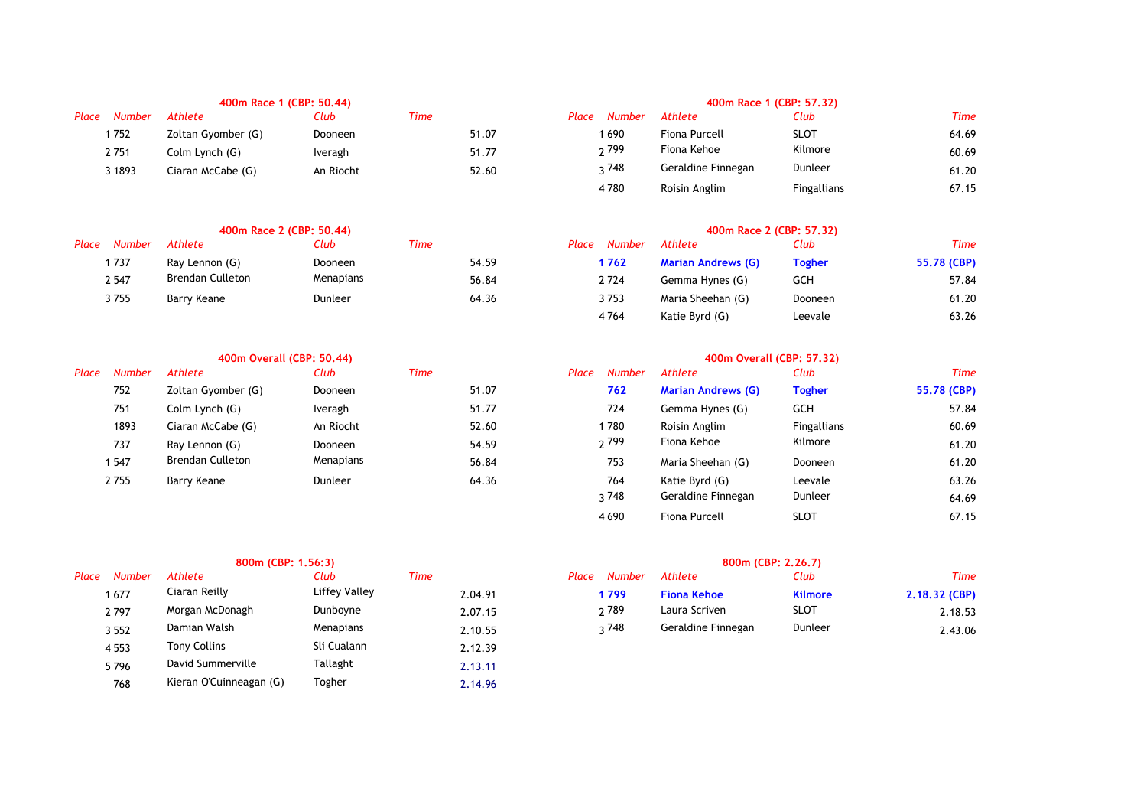| Place | <b>Number</b> | Athlete            | Club      | Time  | Place<br><b>Number</b> | Athlete            | Club        | <b>Time</b> |
|-------|---------------|--------------------|-----------|-------|------------------------|--------------------|-------------|-------------|
|       | 752           | Zoltan Gyomber (G) | Dooneen   | 51.07 | 1 690                  | Fiona Purcell      | <b>SLOT</b> | 64.69       |
|       | 2 751         | Colm Lynch (G)     | Iveragh   | 51.77 | ว 799                  | Fiona Kehoe        | Kilmore     | 60.69       |
|       | 1893          | Ciaran McCabe (G)  | An Riocht | 52.60 | ว 748                  | Geraldine Finnegan | Dunleer     | 61.20       |
|       |               |                    |           |       |                        |                    |             |             |

|       | 400m Race 2 (CBP: 50.44) |                  |           |      |       | 400m Race 2 (CBP: 57.32) |               |                           |               |             |
|-------|--------------------------|------------------|-----------|------|-------|--------------------------|---------------|---------------------------|---------------|-------------|
| Place | Number                   | Athlete          | Club      | Time |       | Place                    | <b>Number</b> | Athlete                   | Club          | Time        |
|       | 737                      | Ray Lennon (G)   | Dooneen   |      | 54.59 |                          | 1 762         | <b>Marian Andrews (G)</b> | <b>Togher</b> | 55.78 (CBP) |
|       | 2 5 4 7                  | Brendan Culleton | Menapians |      | 56.84 |                          | 2724          | Gemma Hynes (G)           | <b>GCH</b>    | 57.84       |
|       | 3 755                    | Barry Keane      | Dunleer   |      | 64.36 |                          | 3753          | Maria Sheehan (G)         | Dooneen       | 61.20       |

|               |                         |                |                           |       | 400m Overall (CBP: 57.32) |                           |                    |             |  |
|---------------|-------------------------|----------------|---------------------------|-------|---------------------------|---------------------------|--------------------|-------------|--|
| <b>Number</b> | Athlete                 | Club           | <b>Time</b>               | Place | <b>Number</b>             | Athlete                   | Club               | Time        |  |
| 752           | Zoltan Gyomber (G)      | Dooneen        | 51.07                     |       | 762                       | <b>Marian Andrews (G)</b> | <b>Togher</b>      | 55.78 (CBP) |  |
| 751           | Colm Lynch (G)          | Iveragh        | 51.77                     |       | 724                       | Gemma Hynes (G)           | <b>GCH</b>         | 57.84       |  |
| 1893          | Ciaran McCabe (G)       | An Riocht      | 52.60                     |       |                           | Roisin Anglim             | <b>Fingallians</b> | 60.69       |  |
| 737           | Ray Lennon (G)          | <b>Dooneen</b> | 54.59                     |       |                           | Fiona Kehoe               | Kilmore            | 61.20       |  |
| 547           | <b>Brendan Culleton</b> | Menapians      | 56.84                     |       | 753                       | Maria Sheehan (G)         | Dooneen            | 61.20       |  |
|               | Barry Keane             | Dunleer        | 64.36                     |       | 764                       | Katie Byrd (G)            | Leevale            | 63.26       |  |
|               | 2755                    |                | 400m Overall (CBP: 50.44) |       |                           | 1780<br><sub>2</sub> 799  |                    |             |  |

### **800m (CBP: 1.56:3) 800m (CBP: 2.26.7)** *Place Number Athlete Club Time Place Number Athlete Club Time* 3 552 2.10.55 3 748 Geraldine Finnegan 2.43.06 4 553 Tony Collins Sli Cualann 2.12.39 5 796 2.13.11 David Summerville Tallaght 768 2.14.96 Kieran O'Cuinneagan (G) TogherCiaran Reilly Liffey Valley **Fiona Kehoe Kilmore** Morgan McDonagh Dunboyne 2.07.15 Damian Walsh Menapians 1.10.55

| 400m Race 1 (CBP: 50.44) |           |       |                 |                    | 400m Race 1 (CBP: 57.32) |       |
|--------------------------|-----------|-------|-----------------|--------------------|--------------------------|-------|
|                          | Club      | Time  | Number<br>Place | Athlete            | Club                     | Time  |
| omber (G)                | Dooneen   | 51.07 | 1690            | Fiona Purcell      | <b>SLOT</b>              | 64.69 |
| :h (G)                   | Iveragh   | 51.77 | <sup>2799</sup> | Fiona Kehoe        | Kilmore                  | 60.69 |
| Cabe (G)                 | An Riocht | 52.60 | ว 748           | Geraldine Finnegan | Dunleer                  | 61.20 |
|                          |           |       | 4780            | Roisin Anglim      | <b>Fingallians</b>       | 67.15 |

| Club      | Time |       | Place | <b>Number</b> | Athlete                   | Club          | Time        |
|-----------|------|-------|-------|---------------|---------------------------|---------------|-------------|
| Dooneen   |      | 54.59 |       | 1762          | <b>Marian Andrews (G)</b> | <b>Togher</b> | 55.78 (CBP) |
| Menapians |      | 56.84 |       | 2 7 2 4       | Gemma Hynes (G)           | GCH           | 57.84       |
| Dunleer   |      | 64.36 |       | 3753          | Maria Sheehan (G)         | Dooneen       | 61.20       |
|           |      |       |       | 4764          | Katie Byrd (G)            | Leevale       | 63.26       |

| Number | Athlete                 | Club           | Time  | <b>Number</b><br>Place | Athlete                   | Club               | Time        |
|--------|-------------------------|----------------|-------|------------------------|---------------------------|--------------------|-------------|
| 752    | Zoltan Gyomber (G)      | <b>Dooneen</b> | 51.07 | 762                    | <b>Marian Andrews (G)</b> | <b>Togher</b>      | 55.78 (CBP) |
| 751    | Colm Lynch (G)          | Iveragh        | 51.77 | 724                    | Gemma Hynes (G)           | <b>GCH</b>         | 57.84       |
| 1893   | Ciaran McCabe (G)       | An Riocht      | 52.60 | 1780                   | Roisin Anglim             | <b>Fingallians</b> | 60.69       |
| 737    | Ray Lennon (G)          | <b>Dooneen</b> | 54.59 | <sup>2</sup> 799       | Fiona Kehoe               | Kilmore            | 61.20       |
| 547    | <b>Brendan Culleton</b> | Menapians      | 56.84 | 753                    | Maria Sheehan (G)         | Dooneen            | 61.20       |
| 755    | Barry Keane             | Dunleer        | 64.36 | 764                    | Katie Byrd (G)            | Leevale            | 63.26       |
|        |                         |                |       | २ 748                  | Geraldine Finnegan        | Dunleer            | 64.69       |
|        |                         |                |       | 4 6 9 0                | Fiona Purcell             | <b>SLOT</b>        | 67.15       |

| <b>Number</b> | Athlete         | Club          | Time    | Place | <b>Number</b> | Athlete            | Club           | Time          |
|---------------|-----------------|---------------|---------|-------|---------------|--------------------|----------------|---------------|
| 1677          | Iiaran Reilly   | Liffey Valley | 2.04.91 |       | 799           | Fiona Kehoe        | <b>Kilmore</b> | 2.18.32 (CBP) |
| 2797          | Morgan McDonagh | Dunbovne      | 2.07.15 |       | າ 789         | Laura Scriven      | <b>SLOT</b>    | 2.18.53       |
| 3 5 5 2       | Damian Walsh    | Menapians     | 2.10.55 |       | 748           | Geraldine Finnegan | Dunleer        | 2.43.06       |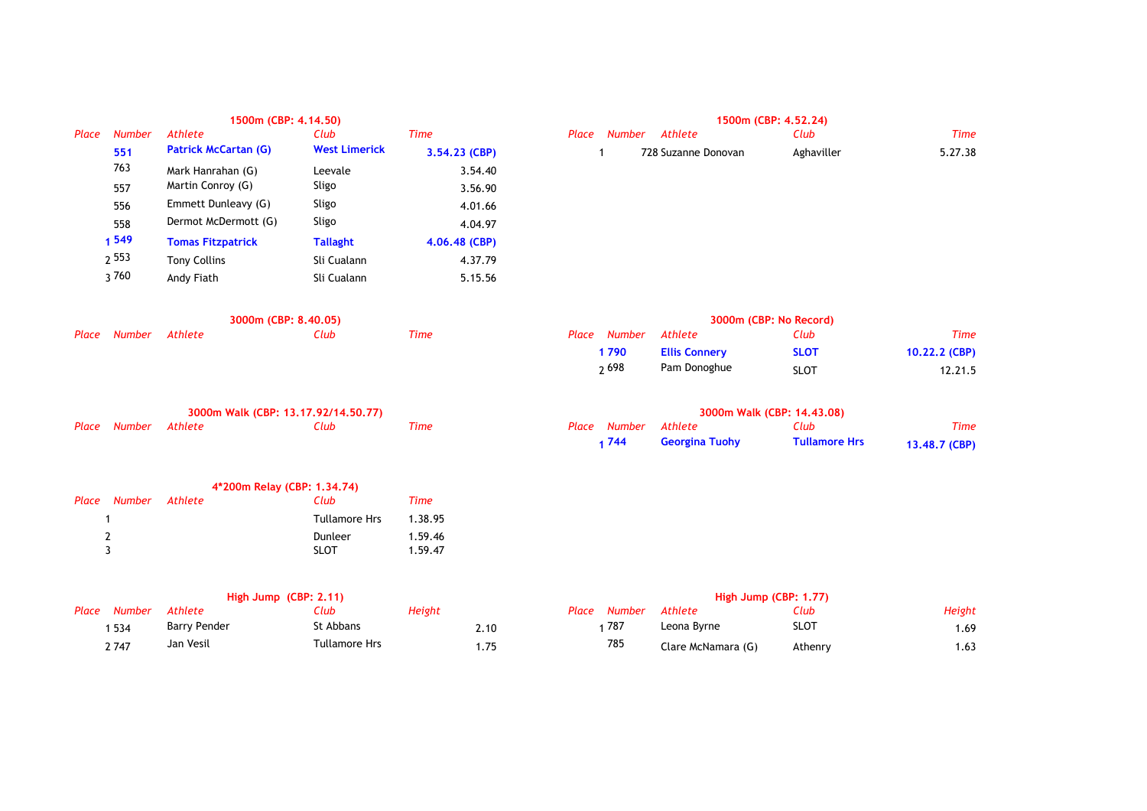|       |               | 1500m (CBP: 4.14.50)        |                      | 1500m (CBP: 4.52.24) |                 |                     |            |             |  |
|-------|---------------|-----------------------------|----------------------|----------------------|-----------------|---------------------|------------|-------------|--|
| Place | <b>Number</b> | Athlete                     | Club                 | <b>Time</b>          | Place<br>Number | Athlete             | Club       | <b>Time</b> |  |
|       | 551           | <b>Patrick McCartan (G)</b> | <b>West Limerick</b> | $3.54.23$ (CBP)      |                 | 728 Suzanne Donovan | Aghaviller | 5.27.38     |  |
|       | 763           | Mark Hanrahan (G)           | Leevale              | 3.54.40              |                 |                     |            |             |  |
|       | 557           | Martin Conroy (G)           | Sligo                | 3.56.90              |                 |                     |            |             |  |
|       | 556           | Emmett Dunleavy (G)         | Sligo                | 4.01.66              |                 |                     |            |             |  |
|       | 558           | Dermot McDermott (G)        | Sligo                | 4.04.97              |                 |                     |            |             |  |
|       | 1 549         | <b>Tomas Fitzpatrick</b>    | <b>Tallaght</b>      | $4.06.48$ (CBP)      |                 |                     |            |             |  |
|       | 2 5 5 3       | <b>Tony Collins</b>         | Sli Cualann          | 4.37.79              |                 |                     |            |             |  |
|       | 3760          | Andy Fiath                  | Sli Cualann          | 5.15.56              |                 |                     |            |             |  |
|       |               |                             |                      |                      |                 |                     |            |             |  |

| 1500m (CBP: 4.52.24) |                     |            |         |  |  |  |  |  |  |
|----------------------|---------------------|------------|---------|--|--|--|--|--|--|
| lace Number Athlete  |                     | Club       | Time    |  |  |  |  |  |  |
|                      | 728 Suzanne Donovan | Aghaviller | 5.27.38 |  |  |  |  |  |  |

| 3000m (CBP: 8.40.05) |         |      |      | 3000m (CBP: No Record) |                      |             |               |  |
|----------------------|---------|------|------|------------------------|----------------------|-------------|---------------|--|
| Place Number         | Athlete | Club | Time | Place Number           | Athlete              | Club        | Time          |  |
|                      |         |      |      | 1790                   | <b>Ellis Connery</b> | <b>SLOT</b> | 10.22.2 (CBP) |  |
|                      |         |      |      | ე 698                  | Pam Donoghue         | <b>SLOT</b> | 12.21.5       |  |

| 3000m Walk (CBP: 13.17.92/14.50.77) |  |      |      | 3000m Walk (CBP: 14.43.08) |                      |                       |                      |               |
|-------------------------------------|--|------|------|----------------------------|----------------------|-----------------------|----------------------|---------------|
| Place Number Athlete                |  | Club | Time |                            | Place Number Athlete |                       | Club                 | Time          |
|                                     |  |      |      |                            | 1744                 | <b>Georgina Tuohy</b> | <b>Tullamore Hrs</b> | 13,48.7 (CBP) |

|   |                      | 4*200m Relay (CBP: 1.34.74) |         |  |
|---|----------------------|-----------------------------|---------|--|
|   | Place Number Athlete | Club                        | Time    |  |
|   |                      | <b>Tullamore Hrs</b>        | 1.38.95 |  |
| 2 |                      | Dunleer                     | 1.59.46 |  |
| ર |                      | <b>SLOT</b>                 | 1.59.47 |  |
|   |                      |                             |         |  |

| High Jump $(CBP: 2.11)$ |                     |                      |        | High Jump (CBP: 1.77) |       |        |                    |             |        |
|-------------------------|---------------------|----------------------|--------|-----------------------|-------|--------|--------------------|-------------|--------|
| Place Number            | Athlete             | Club                 | Height |                       | Place | Number | Athlete            | Club        | Height |
| 534                     | <b>Barry Pender</b> | St Abbans            |        | 2.10                  |       | 787    | Leona Byrne        | <b>SLOT</b> | 1.69   |
| 2 747                   | Jan Vesil           | <b>Tullamore Hrs</b> |        | 75ء،                  |       | 785    | Clare McNamara (G) | Athenry     | 1.63   |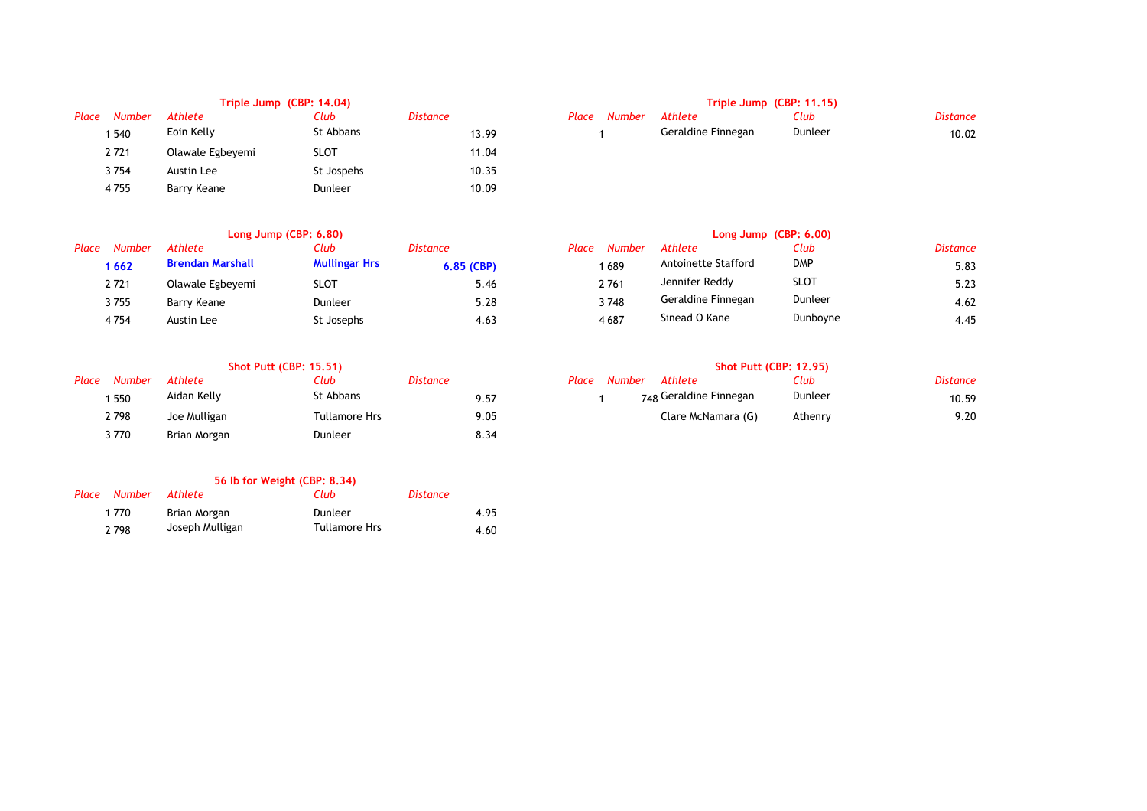|       | Triple Jump (CBP: 14.04) |                  |             |                 |       | Triple Jump (CBP: 11.15) |                    |         |                 |  |
|-------|--------------------------|------------------|-------------|-----------------|-------|--------------------------|--------------------|---------|-----------------|--|
| Place | <b>Number</b>            | Athlete          | Club        | <b>Distance</b> | Place | Number                   | Athlete            | Club    | <b>Distance</b> |  |
|       | 540ء                     | Eoin Kelly       | St Abbans   | 13.99           |       |                          | Geraldine Finnegan | Dunleer | 10.02           |  |
|       | 2721                     | Olawale Egbeyemi | <b>SLOT</b> | 11.04           |       |                          |                    |         |                 |  |
|       | 3754                     | Austin Lee       | St Jospehs  | 10.35           |       |                          |                    |         |                 |  |
|       | 4755                     | Barry Keane      | Dunleer     | 10.09           |       |                          |                    |         |                 |  |

|       | Long Jump $(CBP: 6.80)$ |                         |                      |              | Long Jump $(CBP: 6.00)$ |        |                     |             |                 |
|-------|-------------------------|-------------------------|----------------------|--------------|-------------------------|--------|---------------------|-------------|-----------------|
| Place | Number                  | Athlete                 | Club                 | Distance     | Place                   | Number | Athlete             | Club        | <b>Distance</b> |
|       | 1662                    | <b>Brendan Marshall</b> | <b>Mullingar Hrs</b> | $6.85$ (CBP) |                         | 689    | Antoinette Stafford | <b>DMP</b>  | 5.83            |
|       | 2721                    | Olawale Egbeyemi        | <b>SLOT</b>          | 5.46         |                         | 2761   | Jennifer Reddy      | <b>SLOT</b> | 5.23            |
|       | 3755                    | Barry Keane             | Dunleer              | 5.28         |                         | 3748   | Geraldine Finnegan  | Dunleer     | 4.62            |
|       | 4754                    | Austin Lee              | St Josephs           | 4.63         |                         | 4687   | Sinead O Kane       | Dunboyne    | 4.45            |

|       | <b>Shot Putt (CBP: 15.51)</b> |              |               |          | <b>Shot Putt (CBP: 12.95)</b> |                        |         |                 |  |
|-------|-------------------------------|--------------|---------------|----------|-------------------------------|------------------------|---------|-----------------|--|
| Place | <b>Number</b>                 | Athlete      | Club          | Distance | <b>Number</b><br>Place        | Athlete                | Club    | <b>Distance</b> |  |
|       | 550                           | Aidan Kelly  | St Abbans     | 9.57     |                               | 748 Geraldine Finnegan | Dunleer | 10.59           |  |
|       | 2798                          | Joe Mulligan | Tullamore Hrs | 9.05     |                               | Clare McNamara (G)     | Athenry | 9.20            |  |
|       | 3 770                         | Brian Morgan | Dunleer       | 8.34     |                               |                        |         |                 |  |

## **56 lb for Weight (CBP: 8.34)**

| Place | Number  | Athlete         | Club          | Distance |      |
|-------|---------|-----------------|---------------|----------|------|
|       | 1 770   | Brian Morgan    | Dunleer       |          | 4.95 |
|       | 2 7 9 8 | Joseph Mulligan | Tullamore Hrs |          | 4.60 |

# **Triple Jump (CBP: 14.04) Triple Jump (CBP: 11.15)**

| Number | Athlete         | Club                 | <b>Distance</b>         | Place | Number | Athlete            | '.lub   | Distance |
|--------|-----------------|----------------------|-------------------------|-------|--------|--------------------|---------|----------|
| 1 540  | Eoin Kelly      | . Abbans             | 13.99                   |       |        | Geraldine Finnegan | Dunleer | 10.02    |
| - -- - | - -<br>$\sim$ . | $\sim$ $\sim$ $\sim$ | $\cdot$ $\cdot$ $\cdot$ |       |        |                    |         |          |

| Club          | Distance     | <b>Number</b><br>Place | Athlete             | Club        | <b>Distance</b> |
|---------------|--------------|------------------------|---------------------|-------------|-----------------|
| Mullingar Hrs | $6.85$ (CBP) | 1 689                  | Antoinette Stafford | <b>DMP</b>  | 5.83            |
| SLOT          | 5.46         | 2761                   | Jennifer Reddy      | <b>SLOT</b> | 5.23            |
| Dunleer       | 5.28         | 3748                   | Geraldine Finnegan  | Dunleer     | 4.62            |
| St Josephs    | 4.63         | 4687                   | Sinead O Kane       | Dunboyne    | 4.45            |

| Number | Athlete      | Club          | Distance |  | Place Number Athlete              | :lub    | Distance |
|--------|--------------|---------------|----------|--|-----------------------------------|---------|----------|
| 1 550  | Aidan Kelly  | st Abbans     | 7.5'     |  | <sub>748</sub> Geraldine Finnegan | Dunleer | 10.59    |
| 2798   | Joe Mulligan | Tullamore Hrs | 9.05     |  | Clare McNamara (G)                | Athenry | 9.20     |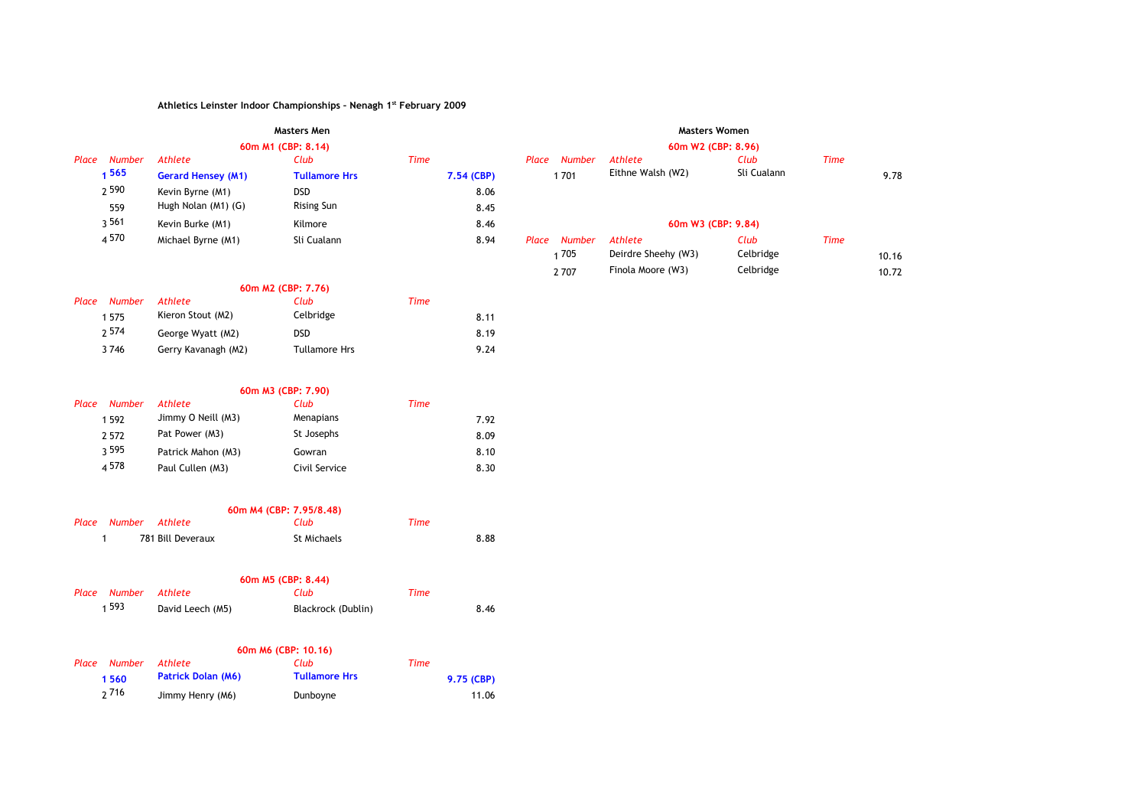|                        | <b>Masters Men</b>        |                      |             |       |        | <b>Masters Women</b> |             |             |       |
|------------------------|---------------------------|----------------------|-------------|-------|--------|----------------------|-------------|-------------|-------|
|                        |                           | 60m M1 (CBP: 8.14)   |             |       |        | 60m W2 (CBP: 8.96)   |             |             |       |
| Place<br><b>Number</b> | Athlete                   | Club                 | <b>Time</b> | Place | Number | Athlete              | Club        | <b>Time</b> |       |
| 565                    | <b>Gerard Hensey (M1)</b> | <b>Tullamore Hrs</b> | 7.54 (CBP)  |       | 1701   | Eithne Walsh (W2)    | Sli Cualann |             | 9.78  |
| 2 5 9 0                | Kevin Byrne (M1)          | <b>DSD</b>           | 8.06        |       |        |                      |             |             |       |
| 559                    | Hugh Nolan (M1) (G)       | Rising Sun           | 8.45        |       |        |                      |             |             |       |
| 3561                   | Kevin Burke (M1)          | Kilmore              | 8.46        |       |        | 60m W3 (CBP: 9.84)   |             |             |       |
| 4 5 7 0                | Michael Byrne (M1)        | Sli Cualann          | 8.94        | Place | Number | Athlete              | Club        | <b>Time</b> |       |
|                        |                           |                      |             |       | 1705   | Deirdre Sheehy (W3)  | Celbridge   |             | 10.16 |
|                        |                           |                      |             |       | 2707   | Finola Moore (W3)    | Celbridge   |             | 10.72 |

## **60m M2 (CBP: 7.76)**

| <b>Number</b><br>Place | <b>Athlete</b>      | Club                 | Time |      |
|------------------------|---------------------|----------------------|------|------|
| 1575                   | Kieron Stout (M2)   | Celbridge            |      | 8.11 |
| <sub>2</sub> 574       | George Wyatt (M2)   | <b>DSD</b>           |      | 8.19 |
| 3746                   | Gerry Kavanagh (M2) | <b>Tullamore Hrs</b> |      | 9.24 |

### **60m M3 (CBP: 7.90)**

| Place | <b>Number</b> | Athlete            | Club          | Time |      |
|-------|---------------|--------------------|---------------|------|------|
|       | 1592          | Jimmy O Neill (M3) | Menapians     |      | 7.92 |
|       | 2 5 7 2       | Pat Power (M3)     | St Josephs    |      | 8.09 |
|       | 3 5 9 5       | Patrick Mahon (M3) | Gowran        |      | 8.10 |
|       | 4578          | Paul Cullen (M3)   | Civil Service |      | 8.30 |

|                      |                   | 60m M4 (CBP: 7.95/8.48) |      |      |
|----------------------|-------------------|-------------------------|------|------|
| Place Number Athlete |                   | Club                    | Time |      |
|                      | 781 Bill Deveraux | St Michaels             |      | 8.88 |

| 60m M5 (CBP: 8.44) |              |                  |                    |      |      |  |  |
|--------------------|--------------|------------------|--------------------|------|------|--|--|
|                    | Place Number | Athlete          | Club               | Time |      |  |  |
|                    | 1 5 9 3      | David Leech (M5) | Blackrock (Dublin) |      | 8.46 |  |  |

### **60m M6 (CBP: 10.16)**

| Place Number | Athlete                   | Club                 | Time       |
|--------------|---------------------------|----------------------|------------|
| 1560         | <b>Patrick Dolan (M6)</b> | <b>Tullamore Hrs</b> | 9.75 (CBP) |
| 2716         | Jimmy Henry (M6)          | Dunboyne             | 11.06      |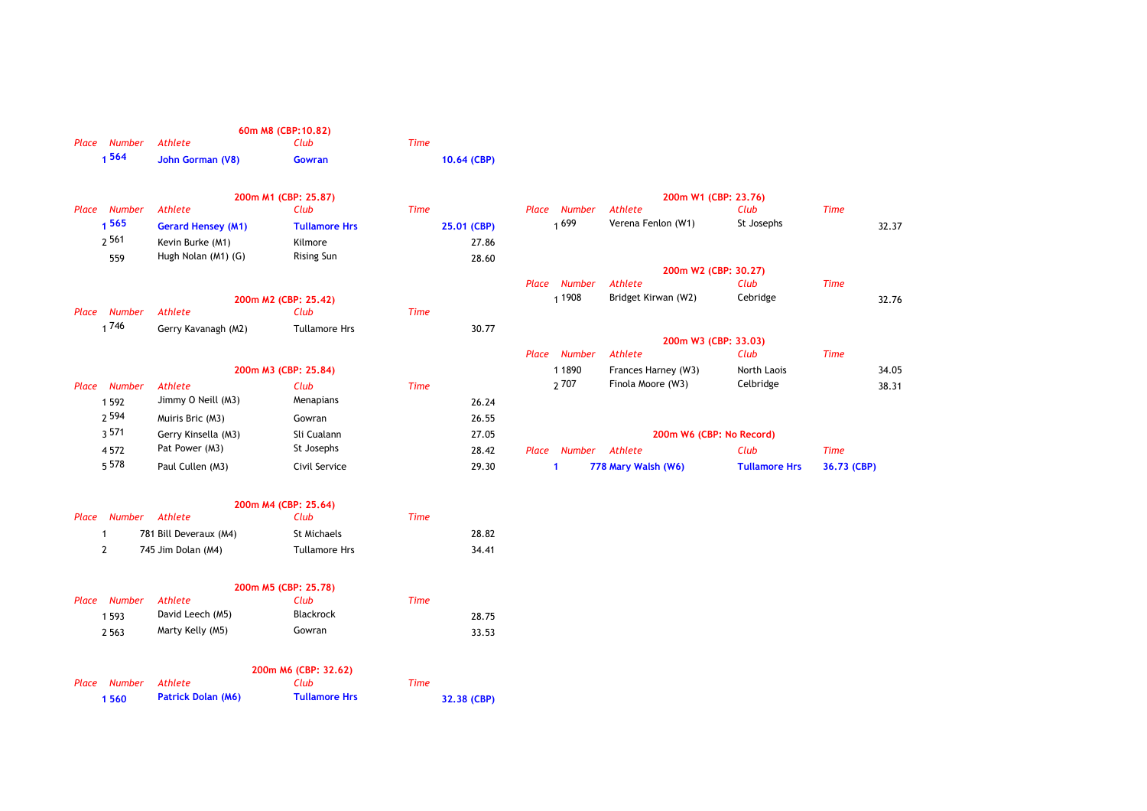|       |                |                                      | 60m M8 (CBP:10.82)   |             |             |       |                  |                                          |                      |             |       |
|-------|----------------|--------------------------------------|----------------------|-------------|-------------|-------|------------------|------------------------------------------|----------------------|-------------|-------|
|       | Place Number   | Athlete                              | Club                 | <b>Time</b> |             |       |                  |                                          |                      |             |       |
|       | 1564           | John Gorman (V8)                     | Gowran               |             | 10.64 (CBP) |       |                  |                                          |                      |             |       |
|       |                |                                      | 200m M1 (CBP: 25.87) |             |             |       |                  | 200m W1 (CBP: 23.76)                     |                      |             |       |
|       | Place Number   | <b>Athlete</b>                       | Club                 | <b>Time</b> |             | Place | Number           | Athlete                                  | Club                 | <b>Time</b> |       |
|       | 1565           | <b>Gerard Hensey (M1)</b>            | <b>Tullamore Hrs</b> |             | 25.01 (CBP) |       | 1699             | Verena Fenlon (W1)                       | St Josephs           |             | 32.37 |
|       | 2561           | Kevin Burke (M1)                     | Kilmore              |             | 27.86       |       |                  |                                          |                      |             |       |
|       | 559            | Hugh Nolan (M1) (G)                  | <b>Rising Sun</b>    |             | 28.60       |       |                  |                                          |                      |             |       |
|       |                |                                      |                      |             |             |       |                  | 200m W2 (CBP: 30.27)                     |                      |             |       |
|       |                |                                      |                      |             |             |       | Place Number     | Athlete                                  | Club                 | <b>Time</b> |       |
|       |                |                                      | 200m M2 (CBP: 25.42) |             |             |       | 1 1 9 0 8        | Bridget Kirwan (W2)                      | Cebridge             |             | 32.76 |
|       | Place Number   | <b>Athlete</b>                       | Club                 | <b>Time</b> |             |       |                  |                                          |                      |             |       |
|       | 1746           | Gerry Kavanagh (M2)                  | <b>Tullamore Hrs</b> |             | 30.77       |       |                  |                                          |                      |             |       |
|       |                |                                      |                      |             |             |       | Place Number     | 200m W3 (CBP: 33.03)<br>Athlete          | Club                 | <b>Time</b> |       |
|       |                |                                      | 200m M3 (CBP: 25.84) |             |             |       | 1 1 8 9 0        |                                          | North Laois          |             | 34.05 |
|       |                |                                      |                      |             |             |       | <sub>2</sub> 707 | Frances Harney (W3)<br>Finola Moore (W3) | Celbridge            |             |       |
|       | Place Number   | <b>Athlete</b><br>Jimmy O Neill (M3) | Club<br>Menapians    | <b>Time</b> |             |       |                  |                                          |                      |             | 38.31 |
|       | 1 5 9 2        |                                      |                      |             | 26.24       |       |                  |                                          |                      |             |       |
|       | 2 5 9 4        | Muiris Bric (M3)                     | Gowran               |             | 26.55       |       |                  |                                          |                      |             |       |
|       | 3571           | Gerry Kinsella (M3)                  | Sli Cualann          |             | 27.05       |       |                  | 200m W6 (CBP: No Record)                 |                      |             |       |
|       | 4572           | Pat Power (M3)                       | St Josephs           |             | 28.42       | Place | Number           | Athlete                                  | Club                 | <b>Time</b> |       |
|       | 5 5 7 8        | Paul Cullen (M3)                     | Civil Service        |             | 29.30       |       | 1                | 778 Mary Walsh (W6)                      | <b>Tullamore Hrs</b> | 36.73 (CBP) |       |
|       |                |                                      | 200m M4 (CBP: 25.64) |             |             |       |                  |                                          |                      |             |       |
| Place | <b>Number</b>  | Athlete                              | Club                 | <b>Time</b> |             |       |                  |                                          |                      |             |       |
|       | 1              | 781 Bill Deveraux (M4)               | St Michaels          |             | 28.82       |       |                  |                                          |                      |             |       |
|       | $\overline{2}$ | 745 Jim Dolan (M4)                   | <b>Tullamore Hrs</b> |             | 34.41       |       |                  |                                          |                      |             |       |
|       |                |                                      | 200m M5 (CBP: 25.78) |             |             |       |                  |                                          |                      |             |       |
|       | Place Number   | <b>Athlete</b>                       | Club                 | <b>Time</b> |             |       |                  |                                          |                      |             |       |
|       | 1 5 9 3        | David Leech (M5)                     | Blackrock            |             | 28.75       |       |                  |                                          |                      |             |       |
|       | 2 5 6 3        | Marty Kelly (M5)                     | Gowran               |             | 33.53       |       |                  |                                          |                      |             |       |
|       |                |                                      | 200m M6 (CBP: 32.62) |             |             |       |                  |                                          |                      |             |       |
|       | Place Number   | Athlete                              | Club                 | <b>Time</b> |             |       |                  |                                          |                      |             |       |

**1 560 32.38 (CBP) Patrick Dolan (M6) Tullamore Hrs**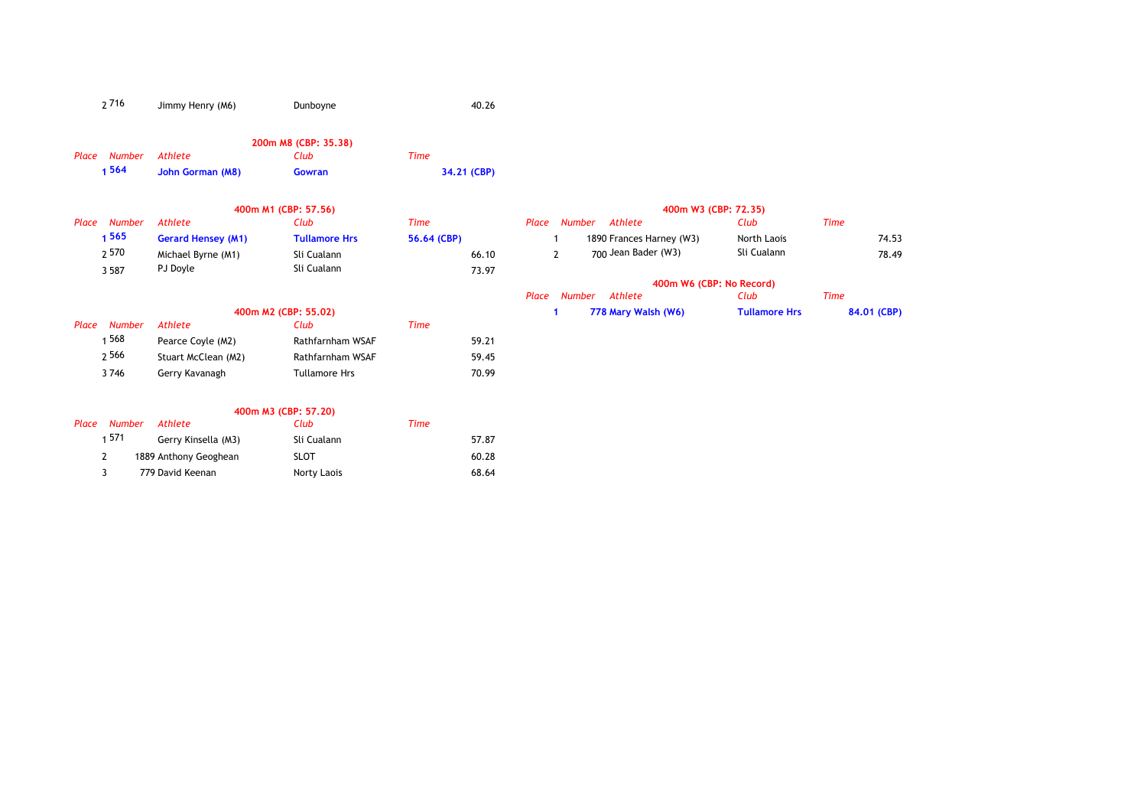| 2716 | Jimmy Henry (M6) | Dunboyne | 40.26 |
|------|------------------|----------|-------|
|      |                  |          |       |

### **200m M8 (CBP: 35.38)** *Place Number Athlete Club Time* **1 564 34.21 (CBP) John Gorman (M8) Gowran**

|                        |                           | 400m M1 (CBP: 57.56)     |             |       |       |        |                          | 400m W3 (CBP: 72.35)     |             |
|------------------------|---------------------------|--------------------------|-------------|-------|-------|--------|--------------------------|--------------------------|-------------|
| <b>Number</b><br>Place | <b>Athlete</b>            | Club                     | Time        |       | Place | Number | Athlete                  | Club                     | <b>Time</b> |
| 565                    | <b>Gerard Hensey (M1)</b> | <b>Tullamore Hrs</b>     | 56.64 (CBP) |       |       |        | 1890 Frances Harney (W3) | North Laois              | 74.53       |
| 2 570                  | Michael Byrne (M1)        | Sli Cualann              |             | 66.10 |       | 2      | 700 Jean Bader (W3)      | Sli Cualann              | 78.49       |
| 3 5 8 7                | PJ Doyle                  | Sli Cualann              |             | 73.97 |       |        |                          |                          |             |
|                        |                           |                          |             |       |       |        |                          | 400m W6 (CBP: No Record) |             |
|                        |                           |                          |             |       | Place | Number | Athlete                  | Club                     | <b>Time</b> |
|                        |                           | 400m M2 (CBP: 55.02)     |             |       |       |        | 778 Mary Walsh (W6)      | <b>Tullamore Hrs</b>     | 84.01 (CBP) |
| Number<br>Place        | Athlete                   | Club                     | Time        |       |       |        |                          |                          |             |
| 568 ہ                  | Pearce Coyle (M2)         | Rathfarnham WSAF         |             | 59.21 |       |        |                          |                          |             |
| 2566                   | Stuart McClean (M2)       | Rathfarnham WSAF         |             | 59.45 |       |        |                          |                          |             |
| 3746                   | Gerry Kavanagh            | <b>Tullamore Hrs</b>     |             | 70.99 |       |        |                          |                          |             |
|                        |                           |                          |             |       |       |        |                          |                          |             |
|                        |                           | $100m$ $M2$ (CRD, 57.30) |             |       |       |        |                          |                          |             |

|                 |      |                       | 400m M3 (CBP: 57,20) |       |
|-----------------|------|-----------------------|----------------------|-------|
| Number<br>Place |      | Athlete               | Club                 | Time  |
|                 | 1571 | Gerry Kinsella (M3)   | Sli Cualann          | 57.87 |
|                 |      | 1889 Anthony Geoghean | SLOT                 | 60.28 |
|                 |      | 779 David Keenan      | Norty Laois          | 68.64 |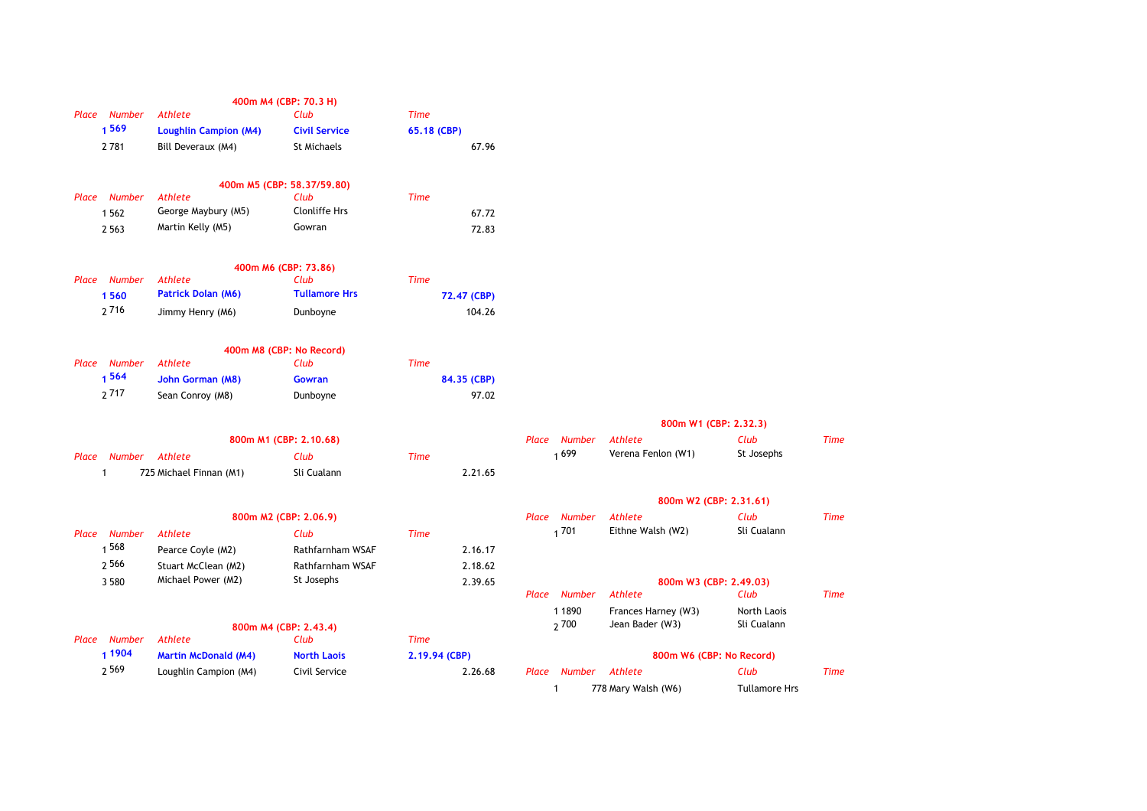|                        |                              | 400m M4 (CBP: 70.3 H)            |               |       |                      |                          |               |             |
|------------------------|------------------------------|----------------------------------|---------------|-------|----------------------|--------------------------|---------------|-------------|
| Place Number           | <b>Athlete</b>               | Club                             | <b>Time</b>   |       |                      |                          |               |             |
| 1569                   | <b>Loughlin Campion (M4)</b> | <b>Civil Service</b>             | 65.18 (CBP)   |       |                      |                          |               |             |
| 2781                   | Bill Deveraux (M4)           | St Michaels                      | 67.96         |       |                      |                          |               |             |
|                        |                              | 400m M5 (CBP: 58.37/59.80)       |               |       |                      |                          |               |             |
| Place Number           | <b>Athlete</b>               | Club                             | <b>Time</b>   |       |                      |                          |               |             |
| 1 5 6 2                | George Maybury (M5)          | <b>Clonliffe Hrs</b>             | 67.72         |       |                      |                          |               |             |
| 2 5 6 3                | Martin Kelly (M5)            | Gowran                           | 72.83         |       |                      |                          |               |             |
|                        |                              | 400m M6 (CBP: 73.86)             |               |       |                      |                          |               |             |
| Place Number           | <b>Athlete</b>               | Club                             | <b>Time</b>   |       |                      |                          |               |             |
| 1560                   | <b>Patrick Dolan (M6)</b>    | <b>Tullamore Hrs</b>             | 72.47 (CBP)   |       |                      |                          |               |             |
| 2716                   | Jimmy Henry (M6)             | Dunboyne                         | 104.26        |       |                      |                          |               |             |
|                        |                              |                                  |               |       |                      |                          |               |             |
| Place Number           | <b>Athlete</b>               | 400m M8 (CBP: No Record)<br>Club | <b>Time</b>   |       |                      |                          |               |             |
| 1564                   | John Gorman (M8)             | Gowran                           | 84.35 (CBP)   |       |                      |                          |               |             |
| 2717                   | Sean Conroy (M8)             | Dunboyne                         | 97.02         |       |                      |                          |               |             |
|                        |                              |                                  |               |       |                      |                          |               |             |
|                        |                              |                                  |               |       |                      | 800m W1 (CBP: 2.32.3)    |               |             |
|                        |                              | 800m M1 (CBP: 2.10.68)           |               | Place | Number               | Athlete                  | Club          | <b>Time</b> |
| <b>Number</b><br>Place | Athlete                      | Club                             | <b>Time</b>   |       | 1699                 | Verena Fenlon (W1)       | St Josephs    |             |
| $\mathbf{1}$           | 725 Michael Finnan (M1)      | Sli Cualann                      | 2.21.65       |       |                      |                          |               |             |
|                        |                              |                                  |               |       |                      | 800m W2 (CBP: 2.31.61)   |               |             |
|                        |                              | 800m M2 (CBP: 2.06.9)            |               |       | Place Number         | Athlete                  | Club          | <b>Time</b> |
| Place Number           | <b>Athlete</b>               | Club                             | <b>Time</b>   |       | 1701                 | Eithne Walsh (W2)        | Sli Cualann   |             |
| 1 568                  | Pearce Coyle (M2)            | Rathfarnham WSAF                 | 2.16.17       |       |                      |                          |               |             |
| 2566                   | Stuart McClean (M2)          | Rathfarnham WSAF                 | 2.18.62       |       |                      |                          |               |             |
| 3 5 8 0                | Michael Power (M2)           | St Josephs                       | 2.39.65       |       |                      | 800m W3 (CBP: 2.49.03)   |               |             |
|                        |                              |                                  |               |       | Place Number         | Athlete                  | Club          | <b>Time</b> |
|                        |                              |                                  |               |       | 1 1890               | Frances Harney (W3)      | North Laois   |             |
|                        |                              | 800m M4 (CBP: 2.43.4)            |               |       | 2700                 | Jean Bader (W3)          | Sli Cualann   |             |
| Place Number           | Athlete                      | Club                             | <b>Time</b>   |       |                      |                          |               |             |
| 1 1904                 | <b>Martin McDonald (M4)</b>  | <b>North Laois</b>               | 2.19.94 (CBP) |       |                      | 800m W6 (CBP: No Record) |               |             |
| 2569                   | Loughlin Campion (M4)        | Civil Service                    | 2.26.68       |       | Place Number Athlete |                          | Club          | <b>Time</b> |
|                        |                              |                                  |               |       |                      | $778$ Mary Walch $(N/6)$ | Tullamore Hrs |             |

| 800m W1 (CBP: 2.32.3) |  |  |  |  |  |  |
|-----------------------|--|--|--|--|--|--|
|-----------------------|--|--|--|--|--|--|

| 800m M1 (CBP: 2.10.68) |             |      |         | Place Number Athlete |                    | Club       | Time |
|------------------------|-------------|------|---------|----------------------|--------------------|------------|------|
|                        | Club        | Time |         | 1699                 | Verena Fenlon (W1) | St Josephs |      |
| M1)                    | Sli Cualann |      | 2.21.65 |                      |                    |            |      |

| 800m W2 (CBP: 2.31.61) |
|------------------------|
|                        |

|        | 800m M2 (CBP: 2.06.9) |               | <b>Number</b><br>Place | Athlete                  | Club                   | Time |  |
|--------|-----------------------|---------------|------------------------|--------------------------|------------------------|------|--|
|        | Club                  | <b>Time</b>   | 1701                   | Eithne Walsh (W2)        | Sli Cualann            |      |  |
|        | Rathfarnham WSAF      | 2.16.17       |                        |                          |                        |      |  |
| A2)    | Rathfarnham WSAF      | 2.18.62       |                        |                          |                        |      |  |
| (2     | St Josephs            | 2.39.65       |                        |                          | 800m W3 (CBP: 2,49,03) |      |  |
|        |                       |               | <b>Number</b><br>Place | Athlete                  | Club                   | Time |  |
|        |                       |               | 1 1 8 9 0              | Frances Harney (W3)      | North Laois            |      |  |
|        | 800m M4 (CBP: 2.43.4) |               | 2700                   | Jean Bader (W3)          | Sli Cualann            |      |  |
|        | Club                  | <b>Time</b>   |                        |                          |                        |      |  |
| (M4)   | <b>North Laois</b>    | 2.19.94 (CBP) |                        | 800m W6 (CBP: No Record) |                        |      |  |
| າ (M4) | Civil Service         | 2.26.68       | <b>Number</b><br>Place | Athlete                  | Club                   | Time |  |
|        |                       |               |                        | 778 Mary Walsh (W6)      | <b>Tullamore Hrs</b>   |      |  |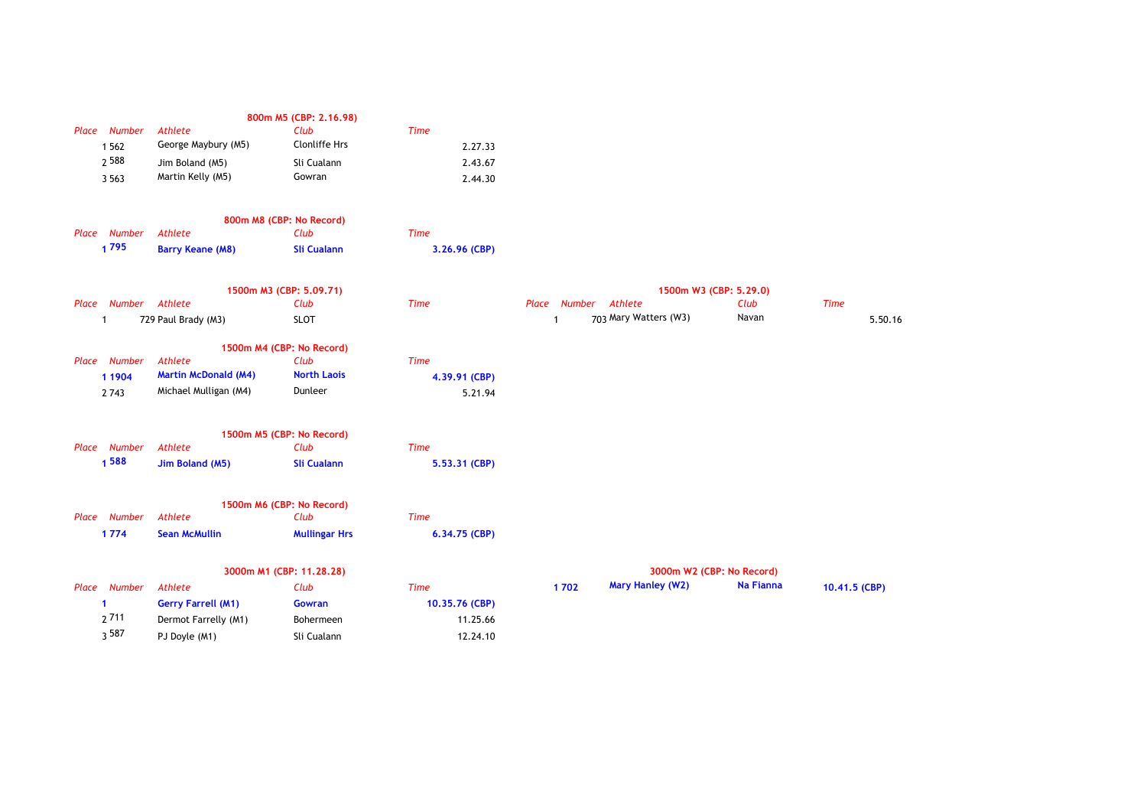|                      |                             | 800m M5 (CBP: 2.16.98)    |                |              |                         |                           |               |
|----------------------|-----------------------------|---------------------------|----------------|--------------|-------------------------|---------------------------|---------------|
| Place Number         | Athlete                     | Club                      | <b>Time</b>    |              |                         |                           |               |
| 1 5 6 2              | George Maybury (M5)         | Clonliffe Hrs             | 2.27.33        |              |                         |                           |               |
| 2588                 | Jim Boland (M5)             | Sli Cualann               | 2.43.67        |              |                         |                           |               |
| 3 5 6 3              | Martin Kelly (M5)           | Gowran                    | 2.44.30        |              |                         |                           |               |
|                      |                             | 800m M8 (CBP: No Record)  |                |              |                         |                           |               |
| Place Number         | Athlete                     | Club                      | <b>Time</b>    |              |                         |                           |               |
| 1795                 | <b>Barry Keane (M8)</b>     | <b>Sli Cualann</b>        | 3.26.96 (CBP)  |              |                         |                           |               |
|                      |                             | 1500m M3 (CBP: 5.09.71)   |                |              |                         | 1500m W3 (CBP: 5.29.0)    |               |
| Place Number         | Athlete                     | Club                      | <b>Time</b>    | Place Number | Athlete                 | Club                      | <b>Time</b>   |
| $\mathbf{1}$         | 729 Paul Brady (M3)         | <b>SLOT</b>               |                | $\mathbf{1}$ | 703 Mary Watters (W3)   | Navan                     | 5.50.16       |
|                      |                             | 1500m M4 (CBP: No Record) |                |              |                         |                           |               |
| Place Number         | Athlete                     | Club                      | <b>Time</b>    |              |                         |                           |               |
| 1 1904               | <b>Martin McDonald (M4)</b> | <b>North Laois</b>        | 4.39.91 (CBP)  |              |                         |                           |               |
| 2 7 4 3              | Michael Mulligan (M4)       | Dunleer                   | 5.21.94        |              |                         |                           |               |
|                      |                             | 1500m M5 (CBP: No Record) |                |              |                         |                           |               |
| Place Number         | Athlete                     | Club                      | <b>Time</b>    |              |                         |                           |               |
| 1588                 | Jim Boland (M5)             | <b>Sli Cualann</b>        | 5.53.31 (CBP)  |              |                         |                           |               |
|                      |                             | 1500m M6 (CBP: No Record) |                |              |                         |                           |               |
| Place Number         | Athlete                     | Club                      | <b>Time</b>    |              |                         |                           |               |
| 1774                 | <b>Sean McMullin</b>        | <b>Mullingar Hrs</b>      | 6.34.75 (CBP)  |              |                         |                           |               |
|                      |                             | 3000m M1 (CBP: 11.28.28)  |                |              |                         | 3000m W2 (CBP: No Record) |               |
| Place Number         | Athlete                     | Club                      | <b>Time</b>    | 1702         | <b>Mary Hanley (W2)</b> | Na Fianna                 | 10.41.5 (CBP) |
| $\blacktriangleleft$ | <b>Gerry Farrell (M1)</b>   | Gowran                    | 10.35.76 (CBP) |              |                         |                           |               |
| 2711                 | Dermot Farrelly (M1)        | Bohermeen                 | 11.25.66       |              |                         |                           |               |
| 3587                 | PJ Doyle (M1)               | Sli Cualann               | 12.24.10       |              |                         |                           |               |
|                      |                             |                           |                |              |                         |                           |               |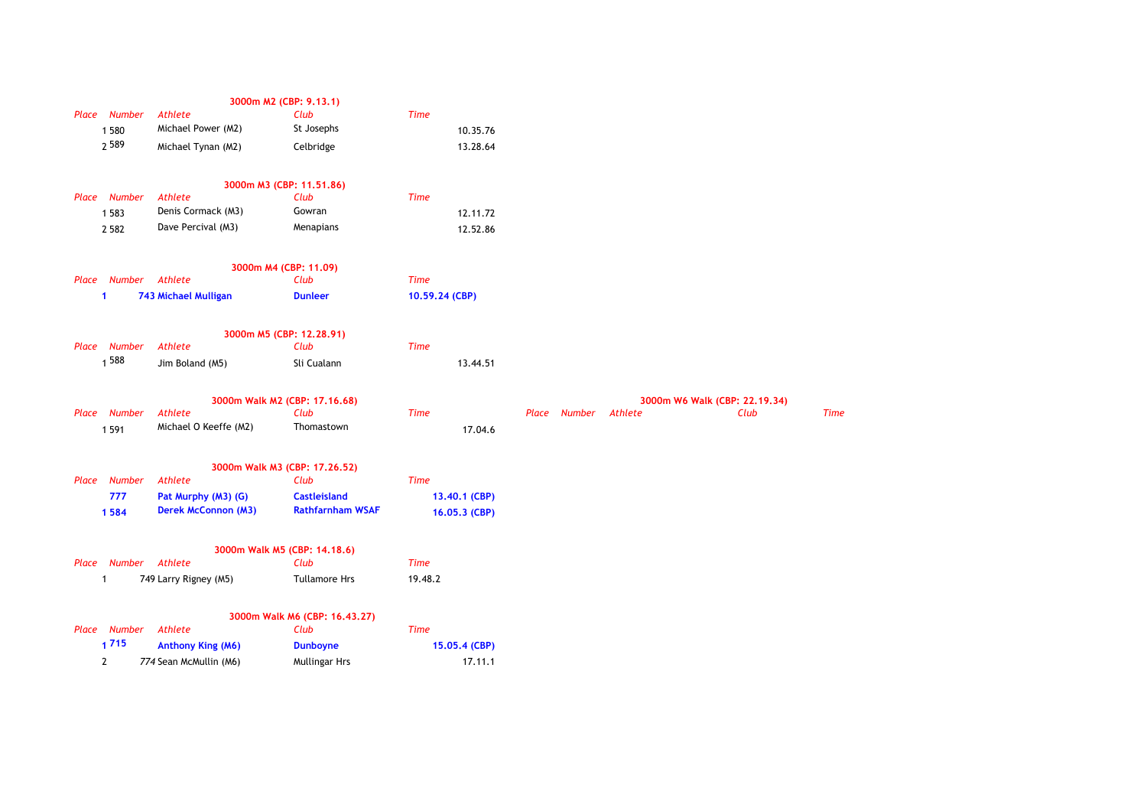|       |                      |                             | 3000m M2 (CBP: 9.13.1)        |                |              |         |                               |             |
|-------|----------------------|-----------------------------|-------------------------------|----------------|--------------|---------|-------------------------------|-------------|
|       | Place Number         | Athlete                     | Club                          | <b>Time</b>    |              |         |                               |             |
|       | 1 580                | Michael Power (M2)          | St Josephs                    | 10.35.76       |              |         |                               |             |
|       | 2589                 | Michael Tynan (M2)          | Celbridge                     | 13.28.64       |              |         |                               |             |
|       |                      |                             | 3000m M3 (CBP: 11.51.86)      |                |              |         |                               |             |
| Place | Number               | <b>Athlete</b>              | Club                          | <b>Time</b>    |              |         |                               |             |
|       | 1583                 | Denis Cormack (M3)          | Gowran                        | 12.11.72       |              |         |                               |             |
|       | 2 5 8 2              | Dave Percival (M3)          | Menapians                     | 12.52.86       |              |         |                               |             |
|       |                      |                             | 3000m M4 (CBP: 11.09)         |                |              |         |                               |             |
|       | Place Number Athlete |                             | Club                          | <b>Time</b>    |              |         |                               |             |
|       | 1                    | <b>743 Michael Mulligan</b> | <b>Dunleer</b>                | 10.59.24 (CBP) |              |         |                               |             |
|       |                      |                             | 3000m M5 (CBP: 12.28.91)      |                |              |         |                               |             |
|       | Place Number         | Athlete                     | Club                          | <b>Time</b>    |              |         |                               |             |
|       | 1 588                | Jim Boland (M5)             | Sli Cualann                   | 13.44.51       |              |         |                               |             |
|       |                      |                             | 3000m Walk M2 (CBP: 17.16.68) |                |              |         | 3000m W6 Walk (CBP: 22.19.34) |             |
|       | Place Number         | Athlete                     | Club                          | <b>Time</b>    | Place Number | Athlete | Club                          | <b>Time</b> |
|       | 1 5 9 1              | Michael O Keeffe (M2)       | Thomastown                    | 17.04.6        |              |         |                               |             |
|       |                      |                             | 3000m Walk M3 (CBP: 17.26.52) |                |              |         |                               |             |
| Place | <b>Number</b>        | Athlete                     | Club                          | <b>Time</b>    |              |         |                               |             |
|       | 777                  | Pat Murphy (M3) (G)         | <b>Castleisland</b>           | 13.40.1 (CBP)  |              |         |                               |             |
|       | 1584                 | <b>Derek McConnon (M3)</b>  | <b>Rathfarnham WSAF</b>       | 16.05.3 (CBP)  |              |         |                               |             |
|       |                      |                             | 3000m Walk M5 (CBP: 14.18.6)  |                |              |         |                               |             |
| Place |                      | Number Athlete              | Club                          | <b>Time</b>    |              |         |                               |             |
|       | 1                    | 749 Larry Rigney (M5)       | <b>Tullamore Hrs</b>          | 19.48.2        |              |         |                               |             |
|       |                      |                             | 3000m Walk M6 (CBP: 16.43.27) |                |              |         |                               |             |
| Place | <b>Number</b>        | Athlete                     | Club                          | <b>Time</b>    |              |         |                               |             |
|       | 1715                 | <b>Anthony King (M6)</b>    | <b>Dunboyne</b>               | 15.05.4 (CBP)  |              |         |                               |             |
|       | 2                    | 774 Sean McMullin (M6)      | <b>Mullingar Hrs</b>          | 17.11.1        |              |         |                               |             |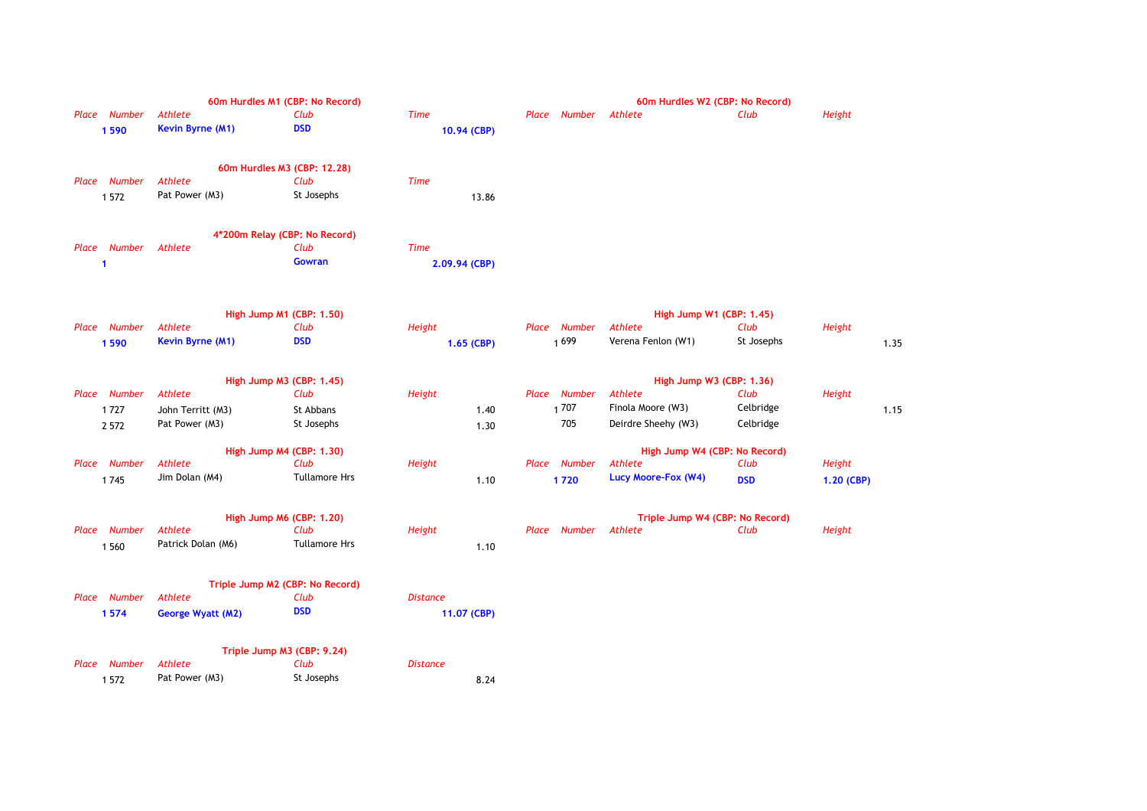| Place Number<br>1590            | 60m Hurdles M1 (CBP: No Record)<br><b>Athlete</b><br>Kevin Byrne (M1)             | Club<br><b>DSD</b>              | <b>Time</b><br>10.94 (CBP)     | Number<br>Place                | 60m Hurdles W2 (CBP: No Record)<br>Athlete                                             | Club                           | <b>Height</b>        |
|---------------------------------|-----------------------------------------------------------------------------------|---------------------------------|--------------------------------|--------------------------------|----------------------------------------------------------------------------------------|--------------------------------|----------------------|
| Place Number<br>1572            | 60m Hurdles M3 (CBP: 12.28)<br><b>Athlete</b><br>Pat Power (M3)                   | Club<br>St Josephs              | <b>Time</b><br>13.86           |                                |                                                                                        |                                |                      |
| Place Number<br>1               | 4*200m Relay (CBP: No Record)<br>Athlete                                          | Club<br><b>Gowran</b>           | <b>Time</b><br>2.09.94 (CBP)   |                                |                                                                                        |                                |                      |
| Place Number<br>1590            | High Jump M1 (CBP: 1.50)<br>Athlete<br>Kevin Byrne (M1)                           | Club<br><b>DSD</b>              | Height<br>1.65 (CBP)           | <b>Number</b><br>Place<br>1699 | High Jump W1 (CBP: 1.45)<br>Athlete<br>Verena Fenlon (W1)                              | Club<br>St Josephs             | Height<br>1.35       |
| Place Number<br>1727<br>2 5 7 2 | High Jump M3 (CBP: 1.45)<br><b>Athlete</b><br>John Territt (M3)<br>Pat Power (M3) | Club<br>St Abbans<br>St Josephs | Height<br>1.40<br>1.30         | Place Number<br>1707<br>705    | High Jump W3 (CBP: 1.36)<br><b>Athlete</b><br>Finola Moore (W3)<br>Deirdre Sheehy (W3) | Club<br>Celbridge<br>Celbridge | Height<br>1.15       |
| Place Number<br>1745            | High Jump M4 (CBP: 1.30)<br><b>Athlete</b><br>Jim Dolan (M4)                      | Club<br><b>Tullamore Hrs</b>    | Height<br>1.10                 | Place Number<br>1720           | High Jump W4 (CBP: No Record)<br>Athlete<br>Lucy Moore-Fox (W4)                        | Club<br><b>DSD</b>             | Height<br>1.20 (CBP) |
| Place Number<br>1 5 6 0         | High Jump M6 (CBP: 1.20)<br><b>Athlete</b><br>Patrick Dolan (M6)                  | Club<br><b>Tullamore Hrs</b>    | Height<br>1.10                 | Number<br>Place                | Triple Jump W4 (CBP: No Record)<br>Athlete                                             | Club                           | Height               |
| Place Number<br>1574            | Triple Jump M2 (CBP: No Record)<br><b>Athlete</b><br><b>George Wyatt (M2)</b>     | Club<br><b>DSD</b>              | <b>Distance</b><br>11.07 (CBP) |                                |                                                                                        |                                |                      |
| Place Number<br>1572            | Triple Jump M3 (CBP: 9.24)<br><b>Athlete</b><br>Pat Power (M3)                    | Club<br>St Josephs              | <b>Distance</b><br>8.24        |                                |                                                                                        |                                |                      |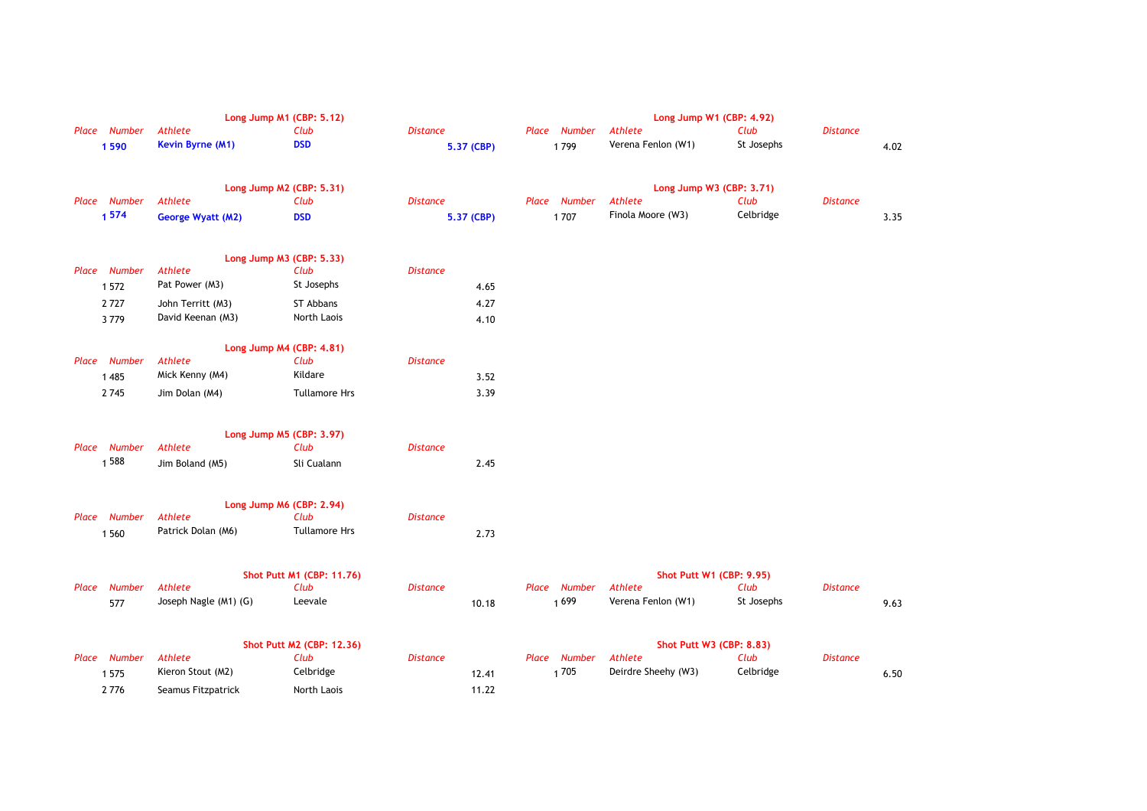|                        |                             | Long Jump M1 (CBP: 5.12)         |                               |                                | Long Jump W1 (CBP: 4.92)            |                    |                 |      |
|------------------------|-----------------------------|----------------------------------|-------------------------------|--------------------------------|-------------------------------------|--------------------|-----------------|------|
| Place Number<br>1590   | Athlete<br>Kevin Byrne (M1) | Club<br><b>DSD</b>               | <b>Distance</b><br>5.37 (CBP) | <b>Number</b><br>Place<br>1799 | Athlete<br>Verena Fenlon (W1)       | Club<br>St Josephs | <b>Distance</b> | 4.02 |
| Place Number           | <b>Athlete</b>              | Long Jump M2 (CBP: 5.31)<br>Club | <b>Distance</b>               | Place Number                   | Long Jump W3 (CBP: 3.71)<br>Athlete | Club               | <b>Distance</b> |      |
| 1574                   | <b>George Wyatt (M2)</b>    | <b>DSD</b>                       | 5.37 (CBP)                    | 1707                           | Finola Moore (W3)                   | Celbridge          |                 | 3.35 |
|                        |                             | Long Jump M3 (CBP: 5.33)         |                               |                                |                                     |                    |                 |      |
| Place Number           | <b>Athlete</b>              | Club                             | <b>Distance</b>               |                                |                                     |                    |                 |      |
| 1 5 7 2                | Pat Power (M3)              | St Josephs                       | 4.65                          |                                |                                     |                    |                 |      |
| 2727                   | John Territt (M3)           | ST Abbans                        | 4.27                          |                                |                                     |                    |                 |      |
| 3779                   | David Keenan (M3)           | North Laois                      | 4.10                          |                                |                                     |                    |                 |      |
|                        |                             | Long Jump M4 (CBP: 4.81)         |                               |                                |                                     |                    |                 |      |
| Place Number           | <b>Athlete</b>              | Club                             | <b>Distance</b>               |                                |                                     |                    |                 |      |
| 1 4 8 5                | Mick Kenny (M4)             | Kildare                          | 3.52                          |                                |                                     |                    |                 |      |
| 2745                   | Jim Dolan (M4)              | <b>Tullamore Hrs</b>             | 3.39                          |                                |                                     |                    |                 |      |
|                        |                             | Long Jump M5 (CBP: 3.97)         |                               |                                |                                     |                    |                 |      |
| <b>Number</b><br>Place | Athlete                     | Club                             | <b>Distance</b>               |                                |                                     |                    |                 |      |
| 1 588                  | Jim Boland (M5)             | Sli Cualann                      | 2.45                          |                                |                                     |                    |                 |      |
|                        |                             | Long Jump M6 (CBP: 2.94)         |                               |                                |                                     |                    |                 |      |
| Place Number           | <b>Athlete</b>              | Club                             | <b>Distance</b>               |                                |                                     |                    |                 |      |
| 1 5 6 0                | Patrick Dolan (M6)          | <b>Tullamore Hrs</b>             | 2.73                          |                                |                                     |                    |                 |      |
|                        |                             | Shot Putt M1 (CBP: 11.76)        |                               |                                | <b>Shot Putt W1 (CBP: 9.95)</b>     |                    |                 |      |
| <b>Number</b><br>Place | <b>Athlete</b>              | Club                             | <b>Distance</b>               | Place Number                   | Athlete                             | Club               | <b>Distance</b> |      |
| 577                    | Joseph Nagle (M1) (G)       | Leevale                          | 10.18                         | 1699                           | Verena Fenlon (W1)                  | St Josephs         |                 | 9.63 |
|                        |                             | Shot Putt M2 (CBP: 12.36)        |                               |                                | <b>Shot Putt W3 (CBP: 8.83)</b>     |                    |                 |      |
| Place Number           | <b>Athlete</b>              | Club                             | <b>Distance</b>               | Place Number                   | Athlete                             | Club               | <b>Distance</b> |      |
| 1 5 7 5                | Kieron Stout (M2)           | Celbridge                        | 12.41                         | 1705                           | Deirdre Sheehy (W3)                 | Celbridge          |                 | 6.50 |
| 2776                   | Seamus Fitzpatrick          | North Laois                      | 11.22                         |                                |                                     |                    |                 |      |